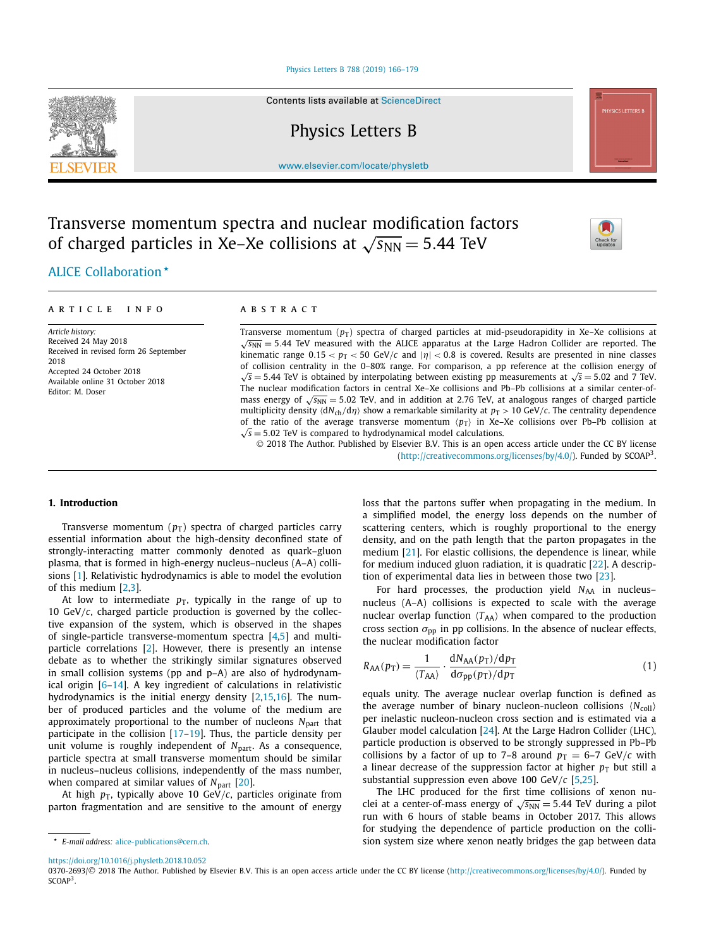#### [Physics Letters B 788 \(2019\) 166–179](https://doi.org/10.1016/j.physletb.2018.10.052)

Contents lists available at [ScienceDirect](http://www.ScienceDirect.com/)

Physics Letters B

[www.elsevier.com/locate/physletb](http://www.elsevier.com/locate/physletb)

# Transverse momentum spectra and nuclear modification factors of charged particles in Xe–Xe collisions at  $\sqrt{s_{NN}} = 5.44$  TeV



*Article history:* Received 24 May 2018 Received in revised form 26 September 2018 Accepted 24 October 2018 Available online 31 October 2018 Editor: M. Doser

#### A R T I C L E I N F O A B S T R A C T

Transverse momentum ( $p_T$ ) spectra of charged particles at mid-pseudorapidity in Xe–Xe collisions at <sup>√</sup>*s*NN <sup>=</sup> <sup>5</sup>*.*44 TeV measured with the ALICE apparatus at the Large Hadron Collider are reported. The kinematic range  $0.15 < p_T < 50$  GeV/*c* and  $|\eta| < 0.8$  is covered. Results are presented in nine classes of collision centrality in the 0–80% range. For comparison, a pp reference at the collision energy of <sup>√</sup>*<sup>s</sup>* <sup>=</sup> <sup>5</sup>*.*44 TeV is obtained by interpolating between existing pp measurements at <sup>√</sup>*<sup>s</sup>* <sup>=</sup> <sup>5</sup>*.*02 and 7 TeV. The nuclear modification factors in central Xe–Xe collisions and Pb–Pb collisions at a similar center-ofmass energy of  $\sqrt{s_{NN}}$  = 5.02 TeV, and in addition at 2.76 TeV, at analogous ranges of charged particle multiplicity density  $\langle dN_{ch}/d\eta \rangle$  show a remarkable similarity at  $p_T > 10$  GeV/*c*. The centrality dependence of the ratio of the average transverse momentum  $\langle p_T \rangle$  in Xe–Xe collisions over Pb–Pb collision at <sup>√</sup>*<sup>s</sup>* <sup>=</sup> <sup>5</sup>*.*02 TeV is compared to hydrodynamical model calculations.

© 2018 The Author. Published by Elsevier B.V. This is an open access article under the CC BY license [\(http://creativecommons.org/licenses/by/4.0/\)](http://creativecommons.org/licenses/by/4.0/). Funded by SCOAP3.

#### **1. Introduction**

Transverse momentum  $(p_T)$  spectra of charged particles carry essential information about the high-density deconfined state of strongly-interacting matter commonly denoted as quark–gluon plasma, that is formed in high-energy nucleus–nucleus (A–A) collisions [\[1\]](#page-7-0). Relativistic hydrodynamics is able to model the evolution of this medium [\[2,3\]](#page-7-0).

At low to intermediate  $p<sub>T</sub>$ , typically in the range of up to 10 GeV*/c*, charged particle production is governed by the collective expansion of the system, which is observed in the shapes of single-particle transverse-momentum spectra [\[4,5\]](#page-7-0) and multiparticle correlations [\[2\]](#page-7-0). However, there is presently an intense debate as to whether the strikingly similar signatures observed in small collision systems (pp and p–A) are also of hydrodynamical origin [\[6–14\]](#page-7-0). A key ingredient of calculations in relativistic hydrodynamics is the initial energy density [\[2,15,16\]](#page-7-0). The number of produced particles and the volume of the medium are approximately proportional to the number of nucleons N<sub>part</sub> that participate in the collision [\[17–19\]](#page-7-0). Thus, the particle density per unit volume is roughly independent of *N*<sub>part</sub>. As a consequence, particle spectra at small transverse momentum should be similar in nucleus–nucleus collisions, independently of the mass number, when compared at similar values of *N*<sub>part</sub> [\[20\]](#page-7-0).

At high  $p_T$ , typically above 10 GeV/ $c$ , particles originate from parton fragmentation and are sensitive to the amount of energy

loss that the partons suffer when propagating in the medium. In a simplified model, the energy loss depends on the number of scattering centers, which is roughly proportional to the energy density, and on the path length that the parton propagates in the medium [\[21\]](#page-7-0). For elastic collisions, the dependence is linear, while for medium induced gluon radiation, it is quadratic [\[22\]](#page-7-0). A description of experimental data lies in between those two [\[23\]](#page-7-0).

For hard processes, the production yield N<sub>AA</sub> in nucleusnucleus (A–A) collisions is expected to scale with the average nuclear overlap function  $\langle T_{AA} \rangle$  when compared to the production cross section  $\sigma_{\text{pp}}$  in pp collisions. In the absence of nuclear effects, the nuclear modification factor

$$
R_{AA}(p_T) = \frac{1}{\langle T_{AA} \rangle} \cdot \frac{dN_{AA}(p_T)/dp_T}{d\sigma_{pp}(p_T)/dp_T}
$$
(1)

equals unity. The average nuclear overlap function is defined as the average number of binary nucleon-nucleon collisions  $\langle N_{\text{coll}} \rangle$ per inelastic nucleon-nucleon cross section and is estimated via a Glauber model calculation [\[24\]](#page-7-0). At the Large Hadron Collider (LHC), particle production is observed to be strongly suppressed in Pb–Pb collisions by a factor of up to 7–8 around  $p_T = 6-7$  GeV/*c* with a linear decrease of the suppression factor at higher  $p<sub>T</sub>$  but still a substantial suppression even above 100 GeV*/c* [\[5,25\]](#page-7-0).

The LHC produced for the first time collisions of xenon nuclei at a center-of-mass energy of  $\sqrt{s_{NN}}$  = 5.44 TeV during a pilot run with 6 hours of stable beams in October 2017. This allows for studying the dependence of particle production on the collision system size where xenon neatly bridges the gap between data

<https://doi.org/10.1016/j.physletb.2018.10.052>

0370-2693/© 2018 The Author. Published by Elsevier B.V. This is an open access article under the CC BY license [\(http://creativecommons.org/licenses/by/4.0/](http://creativecommons.org/licenses/by/4.0/)). Funded by SCOAP<sup>3</sup>.





*<sup>-</sup> E-mail address:* [alice-publications@cern.ch](mailto:alice-publications@cern.ch).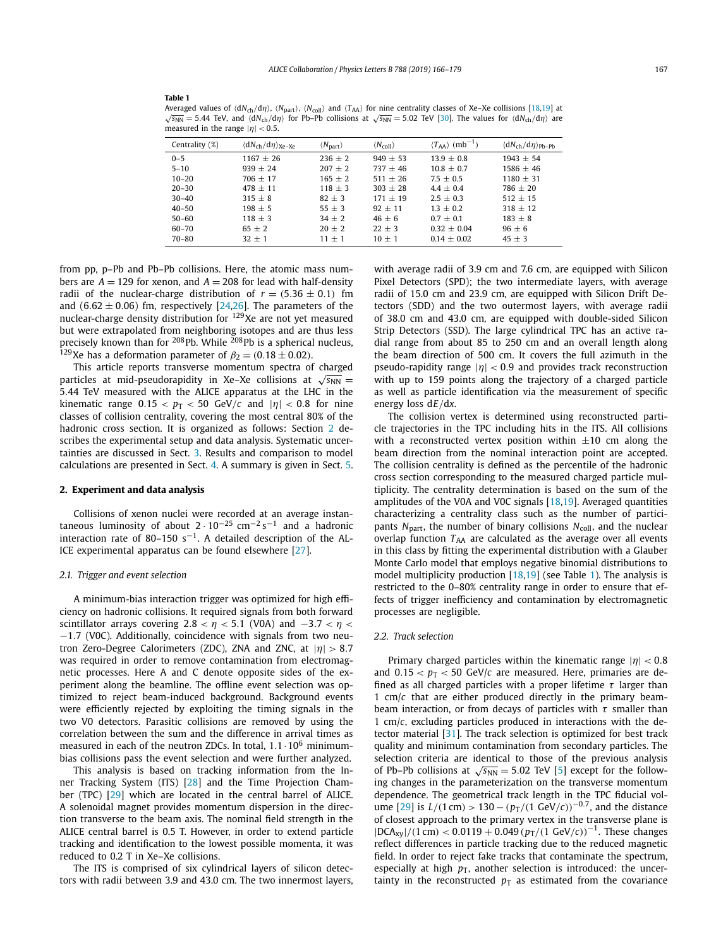#### **Table 1**

Averaged values of  $\langle dN_{\text{ch}}/d\eta \rangle$ ,  $\langle N_{\text{part}} \rangle$ ,  $\langle N_{\text{coll}} \rangle$  and  $\langle T_{AA} \rangle$  for nine centrality classes of Xe–Xe collisions [\[18,19\]](#page-7-0) at  $\sqrt{s_{NN}}$  = 5.44 TeV, and  $\langle dN_{ch}/d\eta \rangle$  for Pb–Pb collisions at  $\sqrt{s_{NN}}$  = 5.02 TeV [\[30\]](#page-7-0). The values for  $\langle dN_{ch}/d\eta \rangle$  are measured in the range  $|\eta|$  < 0.5.

| Centrality (%) | $\langle dN_{ch}/d\eta \rangle_{\text{Xe-Xe}}$ | $\langle N_{\rm part} \rangle$ | $\langle N_{\text{coll}} \rangle$ | $\langle T_{AA} \rangle$ (mb <sup>-1</sup> ) | $\langle dN_{ch}/d\eta \rangle_{Pb-Pb}$ |
|----------------|------------------------------------------------|--------------------------------|-----------------------------------|----------------------------------------------|-----------------------------------------|
| $0 - 5$        | $1167 + 26$                                    | $236 + 2$                      | $949 + 53$                        | $13.9 + 0.8$                                 | $1943 + 54$                             |
| $5 - 10$       | $939 + 24$                                     | $207 \pm 2$                    | $737 + 46$                        | $10.8 \pm 0.7$                               | $1586 + 46$                             |
| $10 - 20$      | $706 + 17$                                     | $165 + 2$                      | $511 + 26$                        | $7.5 + 0.5$                                  | $1180 + 31$                             |
| $20 - 30$      | $478 + 11$                                     | $118 + 3$                      | $303 + 28$                        | $4.4 + 0.4$                                  | $786 + 20$                              |
| $30 - 40$      | $315 + 8$                                      | $82 + 3$                       | $171 + 19$                        | $2.5 + 0.3$                                  | $512 + 15$                              |
| $40 - 50$      | $198 + 5$                                      | $55 + 3$                       | $92 + 11$                         | $1.3 + 0.2$                                  | $318 + 12$                              |
| $50 - 60$      | $118 + 3$                                      | $34 + 2$                       | $46 + 6$                          | $0.7 \pm 0.1$                                | $183 + 8$                               |
| 60-70          | $65 + 2$                                       | $20 + 2$                       | $22 + 3$                          | $0.32 + 0.04$                                | $96 \pm 6$                              |
| $70 - 80$      | $32 + 1$                                       | $11 + 1$                       | $10 + 1$                          | $0.14 \pm 0.02$                              | $45 \pm 3$                              |

from pp, p–Pb and Pb–Pb collisions. Here, the atomic mass numbers are  $A = 129$  for xenon, and  $A = 208$  for lead with half-density radii of the nuclear-charge distribution of  $r = (5.36 \pm 0.1)$  fm and  $(6.62 \pm 0.06)$  fm, respectively [\[24,26\]](#page-7-0). The parameters of the nuclear-charge density distribution for <sup>129</sup>Xe are not yet measured but were extrapolated from neighboring isotopes and are thus less precisely known than for <sup>208</sup>Pb. While <sup>208</sup>Pb is a spherical nucleus, <sup>129</sup>Xe has a deformation parameter of  $\beta_2 = (0.18 \pm 0.02)$ .

This article reports transverse momentum spectra of charged particles at mid-pseudorapidity in Xe–Xe collisions at  $\sqrt{s_{NN}} =$ 5*.*44 TeV measured with the ALICE apparatus at the LHC in the kinematic range  $0.15 < p_T < 50$  GeV/*c* and  $|\eta| < 0.8$  for nine classes of collision centrality, covering the most central 80% of the hadronic cross section. It is organized as follows: Section 2 describes the experimental setup and data analysis. Systematic uncertainties are discussed in Sect. [3.](#page-3-0) Results and comparison to model calculations are presented in Sect. [4.](#page-4-0) A summary is given in Sect. [5.](#page-6-0)

#### **2. Experiment and data analysis**

Collisions of xenon nuclei were recorded at an average instantaneous luminosity of about  $2 \cdot 10^{-25}$  cm<sup>-2</sup> s<sup>-1</sup> and a hadronic interaction rate of 80–150 s<sup>-1</sup>. A detailed description of the AL-ICE experimental apparatus can be found elsewhere [\[27\]](#page-7-0).

#### *2.1. Trigger and event selection*

A minimum-bias interaction trigger was optimized for high efficiency on hadronic collisions. It required signals from both forward scintillator arrays covering  $2.8 < \eta < 5.1$  (V0A) and  $-3.7 < \eta <$ −1*.*7 (V0C). Additionally, coincidence with signals from two neutron Zero-Degree Calorimeters (ZDC), ZNA and ZNC, at |*η*| *>* <sup>8</sup>*.*<sup>7</sup> was required in order to remove contamination from electromagnetic processes. Here A and C denote opposite sides of the experiment along the beamline. The offline event selection was optimized to reject beam-induced background. Background events were efficiently rejected by exploiting the timing signals in the two V0 detectors. Parasitic collisions are removed by using the correlation between the sum and the difference in arrival times as measured in each of the neutron ZDCs. In total,  $1.1 \cdot 10^6$  minimumbias collisions pass the event selection and were further analyzed.

This analysis is based on tracking information from the Inner Tracking System (ITS) [\[28\]](#page-7-0) and the Time Projection Chamber (TPC) [\[29\]](#page-7-0) which are located in the central barrel of ALICE. A solenoidal magnet provides momentum dispersion in the direction transverse to the beam axis. The nominal field strength in the ALICE central barrel is 0.5 T. However, in order to extend particle tracking and identification to the lowest possible momenta, it was reduced to 0.2 T in Xe–Xe collisions.

The ITS is comprised of six cylindrical layers of silicon detectors with radii between 3.9 and 43.0 cm. The two innermost layers, with average radii of 3.9 cm and 7.6 cm, are equipped with Silicon Pixel Detectors (SPD); the two intermediate layers, with average radii of 15.0 cm and 23.9 cm, are equipped with Silicon Drift Detectors (SDD) and the two outermost layers, with average radii of 38.0 cm and 43.0 cm, are equipped with double-sided Silicon Strip Detectors (SSD). The large cylindrical TPC has an active radial range from about 85 to 250 cm and an overall length along the beam direction of 500 cm. It covers the full azimuth in the pseudo-rapidity range |*η*| *<* <sup>0</sup>*.*9 and provides track reconstruction with up to 159 points along the trajectory of a charged particle as well as particle identification via the measurement of specific energy loss d*E/*d*x*.

The collision vertex is determined using reconstructed particle trajectories in the TPC including hits in the ITS. All collisions with a reconstructed vertex position within  $\pm 10$  cm along the beam direction from the nominal interaction point are accepted. The collision centrality is defined as the percentile of the hadronic cross section corresponding to the measured charged particle multiplicity. The centrality determination is based on the sum of the amplitudes of the V0A and V0C signals [\[18,19\]](#page-7-0). Averaged quantities characterizing a centrality class such as the number of participants  $N_{\text{part}}$ , the number of binary collisions  $N_{\text{coll}}$ , and the nuclear overlap function  $T_{AA}$  are calculated as the average over all events in this class by fitting the experimental distribution with a Glauber Monte Carlo model that employs negative binomial distributions to model multiplicity production [\[18,19\]](#page-7-0) (see Table 1). The analysis is restricted to the 0–80% centrality range in order to ensure that effects of trigger inefficiency and contamination by electromagnetic processes are negligible.

#### *2.2. Track selection*

Primary charged particles within the kinematic range |*η*| *<* <sup>0</sup>*.*<sup>8</sup> and  $0.15 < p_T < 50$  GeV/*c* are measured. Here, primaries are defined as all charged particles with a proper lifetime *τ* larger than 1 cm/*c* that are either produced directly in the primary beambeam interaction, or from decays of particles with *τ* smaller than 1 cm/*c*, excluding particles produced in interactions with the detector material [\[31\]](#page-7-0). The track selection is optimized for best track quality and minimum contamination from secondary particles. The selection criteria are identical to those of the previous analysis of Pb–Pb collisions at  $\sqrt{s_{NN}}$  = 5.02 TeV [\[5\]](#page-7-0) except for the following changes in the parameterization on the transverse momentum dependence. The geometrical track length in the TPC fiducial vol-ume [\[29\]](#page-7-0) is *L*/(1 cm) > 130 −  $(p_T/(1 \text{ GeV}/c))$ <sup>-0.7</sup>, and the distance of closest approach to the primary vertex in the transverse plane is |DCAxy|*/(*1 cm*) <* 0*.*0119 + 0*.*049 *(p*T*/(*1 GeV*/c))* <sup>−</sup>1. These changes reflect differences in particle tracking due to the reduced magnetic field. In order to reject fake tracks that contaminate the spectrum, especially at high  $p<sub>T</sub>$ , another selection is introduced: the uncertainty in the reconstructed  $p<sub>T</sub>$  as estimated from the covariance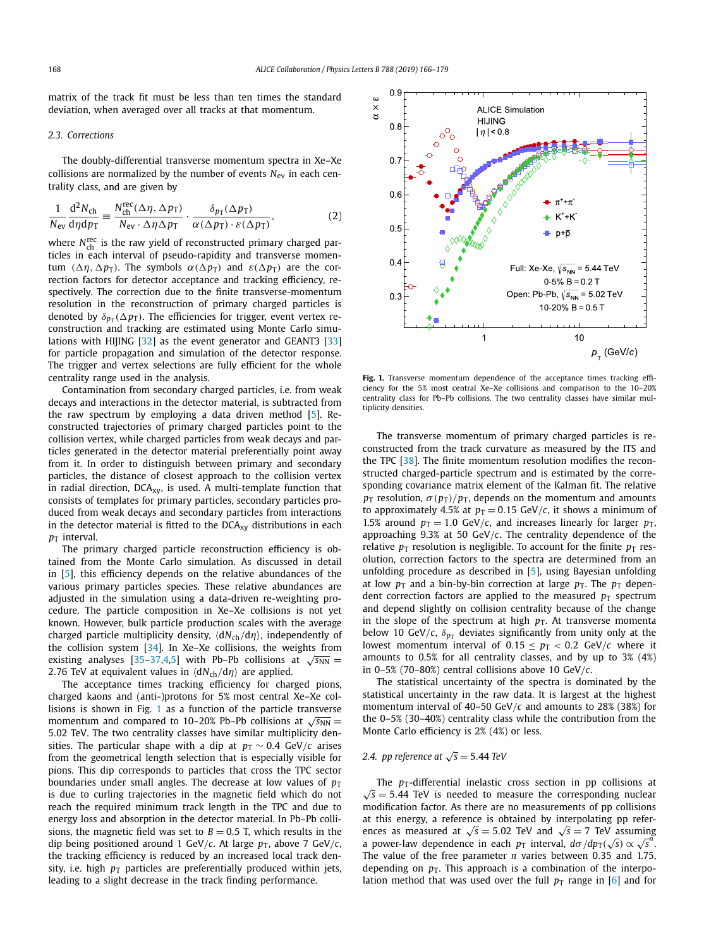matrix of the track fit must be less than ten times the standard deviation, when averaged over all tracks at that momentum.

#### *2.3. Corrections*

The doubly-differential transverse momentum spectra in Xe–Xe collisions are normalized by the number of events *N*ev in each centrality class, and are given by

$$
\frac{1}{N_{\rm ev}} \frac{\mathrm{d}^2 N_{\rm ch}}{\mathrm{d}\eta \mathrm{d}\eta_{\rm T}} \equiv \frac{N_{\rm ch}^{\rm rec}(\Delta \eta, \Delta p_{\rm T})}{N_{\rm ev} \cdot \Delta \eta \Delta p_{\rm T}} \cdot \frac{\delta_{p_{\rm T}}(\Delta p_{\rm T})}{\alpha (\Delta p_{\rm T}) \cdot \varepsilon (\Delta p_{\rm T})},\tag{2}
$$

where N<sup>rec</sup> is the raw yield of reconstructed primary charged particles in each interval of pseudo-rapidity and transverse momentum ( $\Delta \eta$ ,  $\Delta p$ <sub>T</sub>). The symbols  $\alpha$ ( $\Delta p$ <sub>T</sub>) and  $\varepsilon$ ( $\Delta p$ <sub>T</sub>) are the correction factors for detector acceptance and tracking efficiency, respectively. The correction due to the finite transverse-momentum resolution in the reconstruction of primary charged particles is denoted by  $\delta_{p_T}(\Delta p_T)$ . The efficiencies for trigger, event vertex reconstruction and tracking are estimated using Monte Carlo simu-lations with HIJING [\[32\]](#page-7-0) as the event generator and GEANT3 [\[33\]](#page-8-0) for particle propagation and simulation of the detector response. The trigger and vertex selections are fully efficient for the whole centrality range used in the analysis.

Contamination from secondary charged particles, i.e. from weak decays and interactions in the detector material, is subtracted from the raw spectrum by employing a data driven method [\[5\]](#page-7-0). Reconstructed trajectories of primary charged particles point to the collision vertex, while charged particles from weak decays and particles generated in the detector material preferentially point away from it. In order to distinguish between primary and secondary particles, the distance of closest approach to the collision vertex in radial direction, DCA<sub>xy</sub>, is used. A multi-template function that consists of templates for primary particles, secondary particles produced from weak decays and secondary particles from interactions in the detector material is fitted to the  $DCA_{xy}$  distributions in each  $p_T$  interval.

The primary charged particle reconstruction efficiency is obtained from the Monte Carlo simulation. As discussed in detail in [\[5\]](#page-7-0), this efficiency depends on the relative abundances of the various primary particles species. These relative abundances are adjusted in the simulation using a data-driven re-weighting procedure. The particle composition in Xe–Xe collisions is not yet known. However, bulk particle production scales with the average charged particle multiplicity density,  $\langle dN_{ch}/d\eta \rangle$ , independently of the collision system [\[34\]](#page-8-0). In Xe–Xe collisions, the weights from existing analyses [\[35–37](#page-8-0)[,4,5\]](#page-7-0) with Pb–Pb collisions at  $\sqrt{s_{NN}}$  = 2.76 TeV at equivalent values in  $\langle dN_{ch}/d\eta \rangle$  are applied.

The acceptance times tracking efficiency for charged pions, charged kaons and (anti-)protons for 5% most central Xe–Xe collisions is shown in Fig. 1 as a function of the particle transverse momentum and compared to 10–20% Pb–Pb collisions at  $\sqrt{s_{NN}}$  = 5*.*02 TeV. The two centrality classes have similar multiplicity densities. The particular shape with a dip at  $p<sub>T</sub> \sim 0.4$  GeV/*c* arises from the geometrical length selection that is especially visible for pions. This dip corresponds to particles that cross the TPC sector boundaries under small angles. The decrease at low values of  $p<sub>T</sub>$ is due to curling trajectories in the magnetic field which do not reach the required minimum track length in the TPC and due to energy loss and absorption in the detector material. In Pb–Pb collisions, the magnetic field was set to  $B = 0.5$  T, which results in the dip being positioned around 1 GeV/*c*. At large  $p<sub>T</sub>$ , above 7 GeV/*c*, the tracking efficiency is reduced by an increased local track density, i.e. high  $p_T$  particles are preferentially produced within jets, leading to a slight decrease in the track finding performance.



Fig. 1. Transverse momentum dependence of the acceptance times tracking efficiency for the 5% most central Xe–Xe collisions and comparison to the 10–20% centrality class for Pb–Pb collisions. The two centrality classes have similar multiplicity densities.

The transverse momentum of primary charged particles is reconstructed from the track curvature as measured by the ITS and the TPC [\[38\]](#page-8-0). The finite momentum resolution modifies the reconstructed charged-particle spectrum and is estimated by the corresponding covariance matrix element of the Kalman fit. The relative *p*T resolution,  $\sigma(p_T)/p_T$ , depends on the momentum and amounts to approximately 4.5% at  $p_T = 0.15$  GeV/*c*, it shows a minimum of 1.5% around  $p_T = 1.0 \text{ GeV}/c$ , and increases linearly for larger  $p_T$ , approaching 9.3% at 50 GeV*/c*. The centrality dependence of the relative  $p_T$  resolution is negligible. To account for the finite  $p_T$  resolution, correction factors to the spectra are determined from an unfolding procedure as described in [\[5\]](#page-7-0), using Bayesian unfolding at low  $p_T$  and a bin-by-bin correction at large  $p_T$ . The  $p_T$  dependent correction factors are applied to the measured  $p_T$  spectrum and depend slightly on collision centrality because of the change in the slope of the spectrum at high  $p<sub>T</sub>$ . At transverse momenta below 10 GeV/ $c$ ,  $\delta_{p_T}$  deviates significantly from unity only at the lowest momentum interval of  $0.15 \le p_T < 0.2$  GeV/*c* where it amounts to 0.5% for all centrality classes, and by up to 3% (4%) in 0–5% (70–80%) central collisions above 10 GeV*/c*.

The statistical uncertainty of the spectra is dominated by the statistical uncertainty in the raw data. It is largest at the highest momentum interval of 40–50 GeV*/c* and amounts to 28% (38%) for the 0–5% (30–40%) centrality class while the contribution from the Monte Carlo efficiency is 2% (4%) or less.

## *2.4. pp reference at*  $\sqrt{s} = 5.44$  *TeV*

The  $p_T$ -differential inelastic cross section in  $pp$  collisions at  $\sqrt{s}$  = 5.44 TeV is needed to measure the corresponding nuclear modification factor. As there are no measurements of pp collisions at this energy, a reference is obtained by interpolating pp references as measured at  $\sqrt{s} = 5.02$  TeV and  $\sqrt{s} = 7$  TeV assuming a power-law dependence in each  $p_T$  interval,  $d\sigma/dp_T(\sqrt{s}) \propto \sqrt{s^n}$ . The value of the free parameter *n* varies between 0*.*35 and 1.75, depending on  $p<sub>T</sub>$ . This approach is a combination of the interpolation method that was used over the full  $p_T$  range in [\[6\]](#page-7-0) and for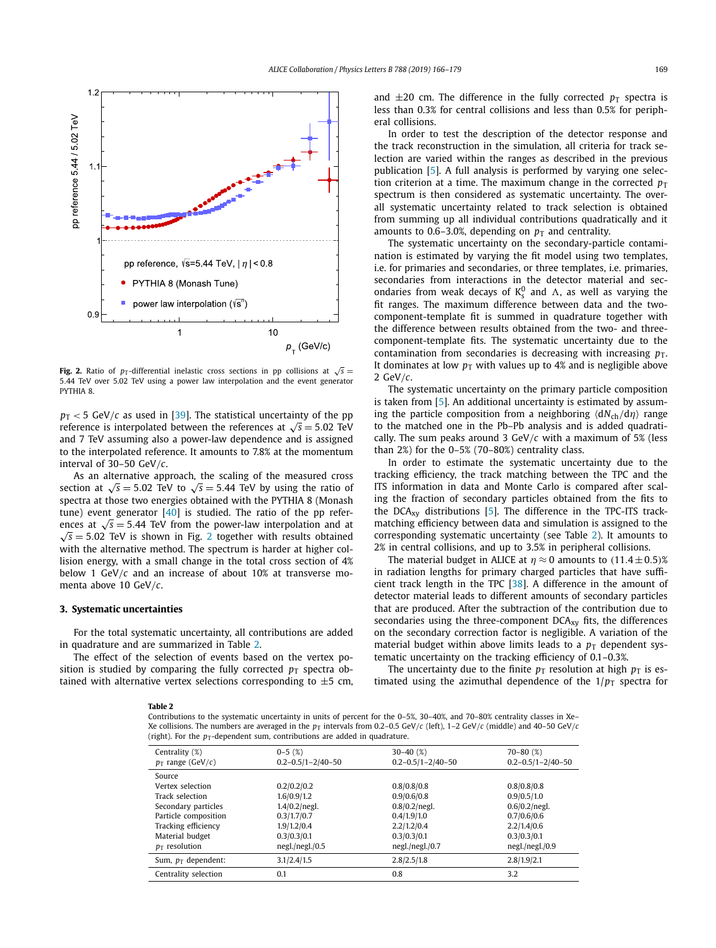<span id="page-3-0"></span>

**Fig. 2.** Ratio of *p*T-differential inelastic cross sections in pp collisions at  $\sqrt{s}$  = 5*.*44 TeV over 5.02 TeV using a power law interpolation and the event generator PYTHIA 8.

 $p_T < 5$  GeV/*c* as used in [\[39\]](#page-8-0). The statistical uncertainty of the pp reference is interpolated between the references at  $\sqrt{s} = 5.02$  TeV and 7 TeV assuming also a power-law dependence and is assigned to the interpolated reference. It amounts to 7.8% at the momentum interval of 30–50 GeV*/c*.

As an alternative approach, the scaling of the measured cross section at  $\sqrt{s}$  = 5.02 TeV to  $\sqrt{s}$  = 5.44 TeV by using the ratio of spectra at those two energies obtained with the PYTHIA 8 (Monash tune) event generator  $[40]$  is studied. The ratio of the pp references at  $\sqrt{s}$  = 5.44 TeV from the power-law interpolation and at  $\sqrt{s}$  = 5.02 TeV is shown in Fig. 2 together with results obtained  $\sqrt{s}$  = 5.02 TeV is shown in Fig. 2 together with results obtained with the alternative method. The spectrum is harder at higher collision energy, with a small change in the total cross section of 4% below 1 GeV*/c* and an increase of about 10% at transverse momenta above 10 GeV*/c*.

#### **3. Systematic uncertainties**

For the total systematic uncertainty, all contributions are added in quadrature and are summarized in Table 2.

The effect of the selection of events based on the vertex position is studied by comparing the fully corrected  $p_T$  spectra obtained with alternative vertex selections corresponding to  $\pm$ 5 cm, and  $\pm 20$  cm. The difference in the fully corrected  $p_T$  spectra is less than 0.3% for central collisions and less than 0.5% for peripheral collisions.

In order to test the description of the detector response and the track reconstruction in the simulation, all criteria for track selection are varied within the ranges as described in the previous publication [\[5\]](#page-7-0). A full analysis is performed by varying one selection criterion at a time. The maximum change in the corrected  $p_T$ spectrum is then considered as systematic uncertainty. The overall systematic uncertainty related to track selection is obtained from summing up all individual contributions quadratically and it amounts to 0.6–3.0%, depending on  $p<sub>T</sub>$  and centrality.

The systematic uncertainty on the secondary-particle contamination is estimated by varying the fit model using two templates, i.e. for primaries and secondaries, or three templates, i.e. primaries, secondaries from interactions in the detector material and secondaries from weak decays of  $K_s^0$  and  $\Lambda$ , as well as varying the fit ranges. The maximum difference between data and the twocomponent-template fit is summed in quadrature together with the difference between results obtained from the two- and threecomponent-template fits. The systematic uncertainty due to the contamination from secondaries is decreasing with increasing  $p_T$ . It dominates at low  $p_T$  with values up to 4% and is negligible above 2 GeV*/c*.

The systematic uncertainty on the primary particle composition is taken from [\[5\]](#page-7-0). An additional uncertainty is estimated by assuming the particle composition from a neighboring  $\langle dN_{ch}/d\eta \rangle$  range to the matched one in the Pb–Pb analysis and is added quadratically. The sum peaks around 3 GeV*/c* with a maximum of 5% (less than 2%) for the 0–5% (70–80%) centrality class.

In order to estimate the systematic uncertainty due to the tracking efficiency, the track matching between the TPC and the ITS information in data and Monte Carlo is compared after scaling the fraction of secondary particles obtained from the fits to the DCA<sub>xy</sub> distributions  $[5]$ . The difference in the TPC-ITS trackmatching efficiency between data and simulation is assigned to the corresponding systematic uncertainty (see Table 2). It amounts to 2% in central collisions, and up to 3.5% in peripheral collisions.

The material budget in ALICE at  $\eta \approx 0$  amounts to  $(11.4 \pm 0.5)$ % in radiation lengths for primary charged particles that have sufficient track length in the TPC [\[38\]](#page-8-0). A difference in the amount of detector material leads to different amounts of secondary particles that are produced. After the subtraction of the contribution due to secondaries using the three-component DCA<sub>xy</sub> fits, the differences on the secondary correction factor is negligible. A variation of the material budget within above limits leads to a  $p<sub>T</sub>$  dependent systematic uncertainty on the tracking efficiency of 0.1–0.3%.

The uncertainty due to the finite  $p_T$  resolution at high  $p_T$  is estimated using the azimuthal dependence of the  $1/p<sub>T</sub>$  spectra for

**Table 2**

Contributions to the systematic uncertainty in units of percent for the 0–5%, 30–40%, and 70–80% centrality classes in Xe– Xe collisions. The numbers are averaged in the  $p_T$  intervals from 0.2–0.5 GeV/*c* (left), 1–2 GeV/*c* (middle) and 40–50 GeV/*c* (right). For the  $p_T$ -dependent sum, contributions are added in quadrature.

| Centrality (%)        | $0 - 5(%)$                | $30 - 40$ (%)             | $70 - 80$ (%)             |
|-----------------------|---------------------------|---------------------------|---------------------------|
| $p_T$ range (GeV/c)   | $0.2 - 0.5/1 - 2/40 - 50$ | $0.2 - 0.5/1 - 2/40 - 50$ | $0.2 - 0.5/1 - 2/40 - 50$ |
| Source                |                           |                           |                           |
| Vertex selection      | 0.2/0.2/0.2               | 0.8/0.8/0.8               | 0.8/0.8/0.8               |
| Track selection       | 1.6/0.9/1.2               | 0.9/0.6/0.8               | 0.9/0.5/1.0               |
| Secondary particles   | $1.4/0.2/$ negl.          | $0.8/0.2$ /negl.          | $0.6/0.2$ /negl.          |
| Particle composition  | 0.3/1.7/0.7               | 0.4/1.9/1.0               | 0.7/0.6/0.6               |
| Tracking efficiency   | 1.9/1.2/0.4               | 2.2/1.2/0.4               | 2.2/1.4/0.6               |
| Material budget       | 0.3/0.3/0.1               | 0.3/0.3/0.1               | 0.3/0.3/0.1               |
| $p_T$ resolution      | negl./negl./0.5           | negl./negl./0.7           | negl./negl./0.9           |
| Sum, $p_T$ dependent: | 3.1/2.4/1.5               | 2.8/2.5/1.8               | 2.8/1.9/2.1               |
| Centrality selection  | 0.1                       | 0.8                       | 3.2                       |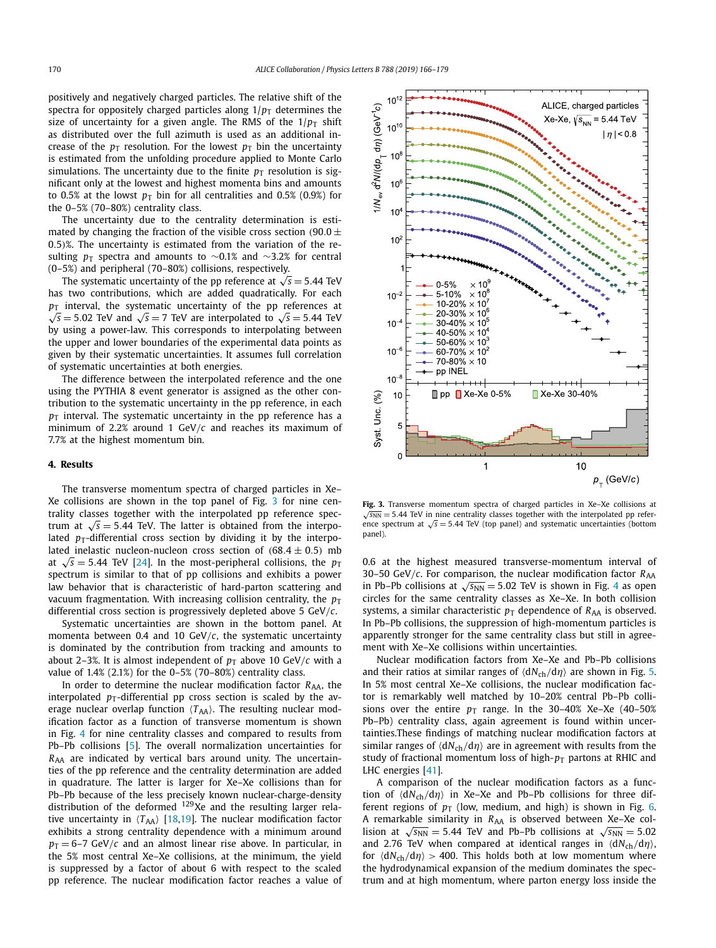<span id="page-4-0"></span>positively and negatively charged particles. The relative shift of the spectra for oppositely charged particles along  $1/p<sub>T</sub>$  determines the size of uncertainty for a given angle. The RMS of the  $1/p_T$  shift as distributed over the full azimuth is used as an additional increase of the  $p_T$  resolution. For the lowest  $p_T$  bin the uncertainty is estimated from the unfolding procedure applied to Monte Carlo simulations. The uncertainty due to the finite  $p<sub>T</sub>$  resolution is significant only at the lowest and highest momenta bins and amounts to 0.5% at the lowst  $p_T$  bin for all centralities and 0.5% (0.9%) for the 0–5% (70–80%) centrality class.

The uncertainty due to the centrality determination is estimated by changing the fraction of the visible cross section  $(90.0 \pm$ 0*.*5*)*%. The uncertainty is estimated from the variation of the resulting *p*T spectra and amounts to ~0.1% and ~3.2% for central (0–5%) and peripheral (70–80%) collisions, respectively.

The systematic uncertainty of the pp reference at  $\sqrt{s} = 5.44$  TeV has two contributions, which are added quadratically. For each  $p<sub>T</sub>$  interval, the systematic uncertainty of the pp references at  $\sqrt{s}$  = 5.02 TeV and  $\sqrt{s}$  = 7 TeV are interpolated to  $\sqrt{s}$  = 5.44 TeV by using a power-law. This corresponds to interpolating between the upper and lower boundaries of the experimental data points as given by their systematic uncertainties. It assumes full correlation of systematic uncertainties at both energies.

The difference between the interpolated reference and the one using the PYTHIA 8 event generator is assigned as the other contribution to the systematic uncertainty in the pp reference, in each  $p<sub>T</sub>$  interval. The systematic uncertainty in the pp reference has a minimum of 2.2% around 1 GeV*/c* and reaches its maximum of 7.7% at the highest momentum bin.

### **4. Results**

The transverse momentum spectra of charged particles in Xe– Xe collisions are shown in the top panel of Fig. 3 for nine centrality classes together with the interpolated pp reference spectrum at  $\sqrt{s}$  = 5.44 TeV. The latter is obtained from the interpolated  $p_T$ -differential cross section by dividing it by the interpolated inelastic nucleon-nucleon cross section of  $(68.4 \pm 0.5)$  mb at  $\sqrt{s}$  = 5.44 TeV [\[24\]](#page-7-0). In the most-peripheral collisions, the  $p_T$ spectrum is similar to that of pp collisions and exhibits a power law behavior that is characteristic of hard-parton scattering and vacuum fragmentation. With increasing collision centrality, the  $p<sub>T</sub>$ differential cross section is progressively depleted above 5 GeV*/c*.

Systematic uncertainties are shown in the bottom panel. At momenta between 0.4 and 10 GeV*/c*, the systematic uncertainty is dominated by the contribution from tracking and amounts to about 2–3%. It is almost independent of  $p<sub>T</sub>$  above 10 GeV/*c* with a value of 1.4% (2.1%) for the 0–5% (70–80%) centrality class.

In order to determine the nuclear modification factor  $R_{AA}$ , the interpolated  $p_T$ -differential pp cross section is scaled by the average nuclear overlap function  $\langle T_{AA} \rangle$ . The resulting nuclear modification factor as a function of transverse momentum is shown in Fig. [4](#page-5-0) for nine centrality classes and compared to results from Pb–Pb collisions [\[5\]](#page-7-0). The overall normalization uncertainties for *R*AA are indicated by vertical bars around unity. The uncertainties of the pp reference and the centrality determination are added in quadrature. The latter is larger for Xe–Xe collisions than for Pb–Pb because of the less precisely known nuclear-charge-density distribution of the deformed 129Xe and the resulting larger relative uncertainty in  $\langle T_{AA} \rangle$  [\[18,19\]](#page-7-0). The nuclear modification factor exhibits a strong centrality dependence with a minimum around  $p_T = 6-7$  GeV/*c* and an almost linear rise above. In particular, in the 5% most central Xe–Xe collisions, at the minimum, the yield is suppressed by a factor of about 6 with respect to the scaled pp reference. The nuclear modification factor reaches a value of



**Fig. 3.** Transverse momentum spectra of charged particles in Xe–Xe collisions at  $\sqrt{s_{NN}}$  = 5.44 TeV in nine centrality classes together with the interpolated pp reference spectrum at  $\sqrt{s}$  = 5.44 TeV (top panel) and systematic uncertainties (bottom panel).

0.6 at the highest measured transverse-momentum interval of 30–50 GeV/ $c$ . For comparison, the nuclear modification factor  $R_{AA}$ in Pb–Pb collisions at  $\sqrt{s_{NN}}$  = 5.02 TeV is shown in Fig. [4](#page-5-0) as open circles for the same centrality classes as Xe–Xe. In both collision systems, a similar characteristic  $p<sub>T</sub>$  dependence of  $R<sub>AA</sub>$  is observed. In Pb–Pb collisions, the suppression of high-momentum particles is apparently stronger for the same centrality class but still in agreement with Xe–Xe collisions within uncertainties.

Nuclear modification factors from Xe–Xe and Pb–Pb collisions and their ratios at similar ranges of  $\langle dN_{ch}/d\eta \rangle$  are shown in Fig. [5.](#page-5-0) In 5% most central Xe–Xe collisions, the nuclear modification factor is remarkably well matched by 10–20% central Pb–Pb collisions over the entire  $p_T$  range. In the 30–40% Xe–Xe (40–50%) Pb–Pb) centrality class, again agreement is found within uncertainties.These findings of matching nuclear modification factors at similar ranges of  $\langle dN_{ch}/d\eta \rangle$  are in agreement with results from the study of fractional momentum loss of high- $p_T$  partons at RHIC and LHC energies [\[41\]](#page-8-0).

A comparison of the nuclear modification factors as a function of  $\langle dN_{ch}/d\eta \rangle$  in Xe–Xe and Pb–Pb collisions for three different regions of  $p_T$  (low, medium, and high) is shown in Fig. [6.](#page-6-0) A remarkable similarity in R<sub>AA</sub> is observed between Xe-Xe collision at  $\sqrt{s_{NN}}$  = 5.44 TeV and Pb–Pb collisions at  $\sqrt{s_{NN}}$  = 5.02 and 2.76 TeV when compared at identical ranges in  $\langle dN_{ch}/d\eta \rangle$ , for  $\langle dN_{ch}/d\eta \rangle > 400$ . This holds both at low momentum where the hydrodynamical expansion of the medium dominates the spectrum and at high momentum, where parton energy loss inside the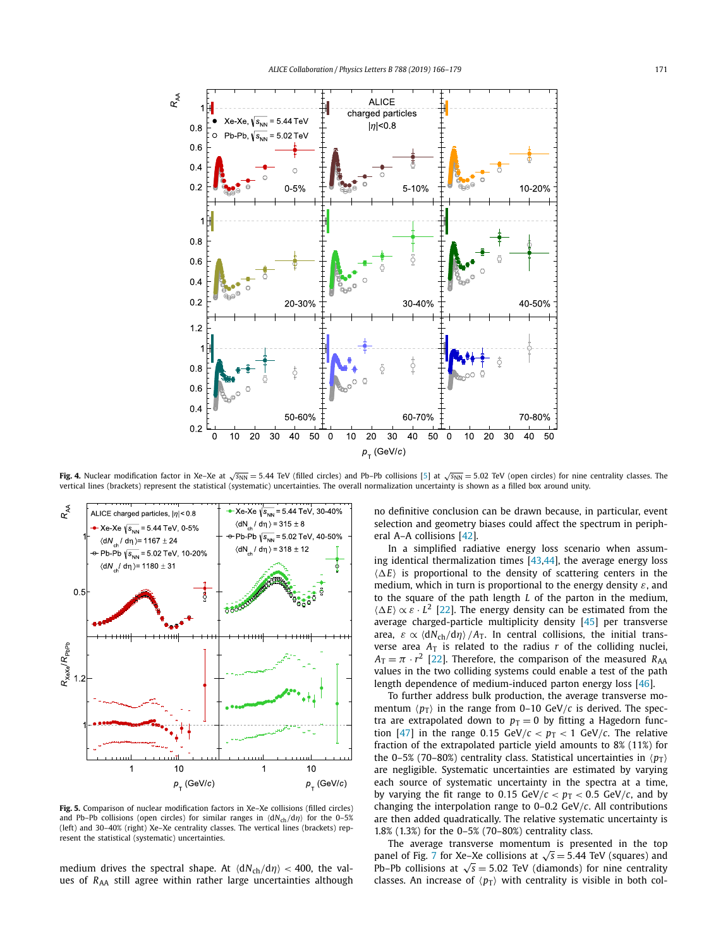<span id="page-5-0"></span>

**Fig. 4.** Nuclear modification factor in Xe–Xe at √*s*<sub>NN</sub> = 5.44 TeV (filled circles) and Pb–Pb collisions [\[5\]](#page-7-0) at √*s*<sub>NN</sub> = 5.02 TeV (open circles) for nine centrality classes. The vertical lines (brackets) represent the statistical (systematic) uncertainties. The overall normalization uncertainty is shown as a filled box around unity.



**Fig. 5.** Comparison of nuclear modification factors in Xe–Xe collisions (filled circles) and Pb–Pb collisions (open circles) for similar ranges in  $\langle dN_{ch}/d\eta \rangle$  for the 0–5% (left) and 30–40% (right) Xe–Xe centrality classes. The vertical lines (brackets) represent the statistical (systematic) uncertainties.

medium drives the spectral shape. At  $\langle dN_{ch}/d\eta \rangle$  < 400, the values of *R*<sub>AA</sub> still agree within rather large uncertainties although no definitive conclusion can be drawn because, in particular, event selection and geometry biases could affect the spectrum in peripheral A–A collisions [\[42\]](#page-8-0).

In a simplified radiative energy loss scenario when assuming identical thermalization times [\[43,44\]](#page-8-0), the average energy loss  $\langle \Delta E \rangle$  is proportional to the density of scattering centers in the medium, which in turn is proportional to the energy density *ε*, and to the square of the path length *L* of the parton in the medium,  $\langle \Delta E \rangle \propto \varepsilon \cdot L^2$  [\[22\]](#page-7-0). The energy density can be estimated from the average charged-particle multiplicity density [\[45\]](#page-8-0) per transverse area,  $\varepsilon \propto \langle dN_{\text{ch}}/d\eta \rangle /A_{\text{T}}$ . In central collisions, the initial transverse area  $A_T$  is related to the radius  $r$  of the colliding nuclei,  $A_T = \pi \cdot r^2$  [\[22\]](#page-7-0). Therefore, the comparison of the measured *R*<sub>AA</sub> values in the two colliding systems could enable a test of the path length dependence of medium-induced parton energy loss [\[46\]](#page-8-0).

To further address bulk production, the average transverse momentum  $\langle p_{\text{T}} \rangle$  in the range from 0–10 GeV/*c* is derived. The spectra are extrapolated down to  $p_T = 0$  by fitting a Hagedorn func-tion [\[47\]](#page-8-0) in the range 0.15 GeV/ $c < p<sub>T</sub> < 1$  GeV/ $c$ . The relative fraction of the extrapolated particle yield amounts to 8% (11%) for the 0–5% (70–80%) centrality class. Statistical uncertainties in  $\langle p_T \rangle$ are negligible. Systematic uncertainties are estimated by varying each source of systematic uncertainty in the spectra at a time, by varying the fit range to 0.15 GeV/ $c < p<sub>T</sub> < 0.5$  GeV/ $c$ , and by changing the interpolation range to 0–0.2 GeV*/c*. All contributions are then added quadratically. The relative systematic uncertainty is 1.8% (1.3%) for the 0–5% (70–80%) centrality class.

The average transverse momentum is presented in the top panel of Fig. [7](#page-6-0) for Xe–Xe collisions at  $\sqrt{s}$  = 5.44 TeV (squares) and Pb–Pb collisions at  $\sqrt{s}$  = 5.02 TeV (diamonds) for nine centrality classes. An increase of  $\langle p_T \rangle$  with centrality is visible in both col-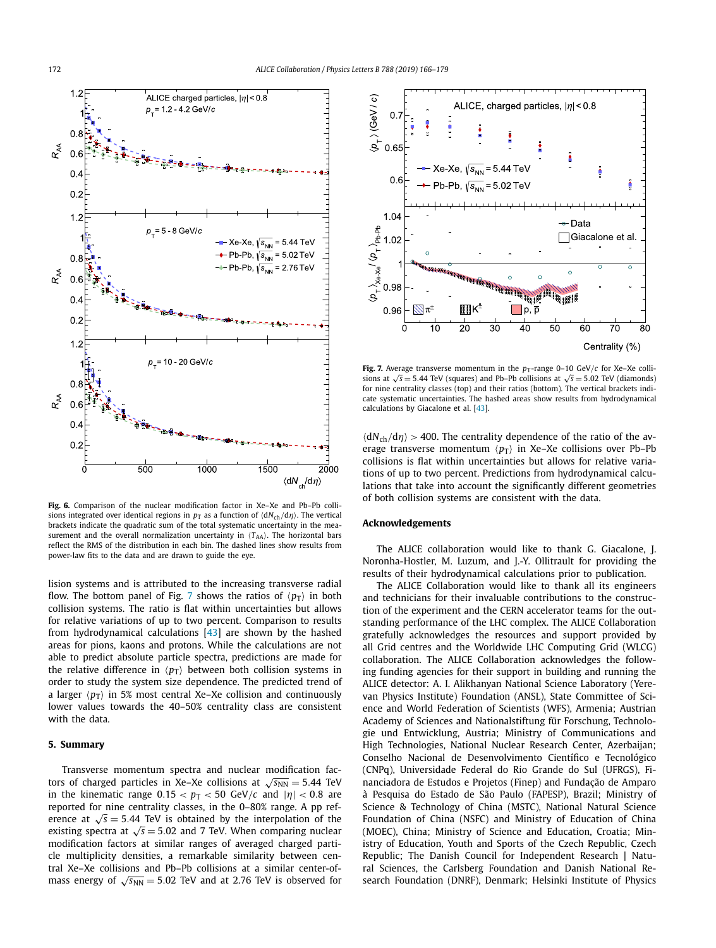<span id="page-6-0"></span>

**Fig. 6.** Comparison of the nuclear modification factor in Xe–Xe and Pb–Pb collisions integrated over identical regions in  $p<sub>T</sub>$  as a function of  $\langle dN_{ch}/d\eta \rangle$ . The vertical brackets indicate the quadratic sum of the total systematic uncertainty in the measurement and the overall normalization uncertainty in  $\langle T_{AA} \rangle$ . The horizontal bars reflect the RMS of the distribution in each bin. The dashed lines show results from power-law fits to the data and are drawn to guide the eye.

lision systems and is attributed to the increasing transverse radial flow. The bottom panel of Fig. 7 shows the ratios of  $\langle p_{\rm T} \rangle$  in both collision systems. The ratio is flat within uncertainties but allows for relative variations of up to two percent. Comparison to results from hydrodynamical calculations [\[43\]](#page-8-0) are shown by the hashed areas for pions, kaons and protons. While the calculations are not able to predict absolute particle spectra, predictions are made for the relative difference in  $\langle p_{\rm T} \rangle$  between both collision systems in order to study the system size dependence. The predicted trend of a larger  $\langle p_{\rm T} \rangle$  in 5% most central Xe–Xe collision and continuously lower values towards the 40–50% centrality class are consistent with the data.

### **5. Summary**

Transverse momentum spectra and nuclear modification factors of charged particles in Xe–Xe collisions at  $\sqrt{s_{NN}} = 5.44$  TeV in the kinematic range  $0.15 < p_T < 50$  GeV/*c* and  $|\eta| < 0.8$  are reported for nine centrality classes, in the 0–80% range. A pp reference at  $\sqrt{s}$  = 5.44 TeV is obtained by the interpolation of the existing spectra at  $\sqrt{s}$  = 5.02 and 7 TeV. When comparing nuclear modification factors at similar ranges of averaged charged particle multiplicity densities, a remarkable similarity between central Xe–Xe collisions and Pb–Pb collisions at a similar center-ofmass energy of  $\sqrt{s_{NN}}$  = 5.02 TeV and at 2.76 TeV is observed for



**Fig. 7.** Average transverse momentum in the  $p_T$ -range 0–10 GeV/*c* for Xe–Xe collisions at  $\sqrt{s}$  = 5.44 TeV (squares) and Pb–Pb collisions at  $\sqrt{s}$  = 5.02 TeV (diamonds) for nine centrality classes (top) and their ratios (bottom). The vertical brackets indicate systematic uncertainties. The hashed areas show results from hydrodynamical calculations by Giacalone et al. [\[43\]](#page-8-0).

 $\langle dN_{ch}/d\eta \rangle > 400$ . The centrality dependence of the ratio of the average transverse momentum  $\langle p_T \rangle$  in Xe–Xe collisions over Pb–Pb collisions is flat within uncertainties but allows for relative variations of up to two percent. Predictions from hydrodynamical calculations that take into account the significantly different geometries of both collision systems are consistent with the data.

#### **Acknowledgements**

The ALICE collaboration would like to thank G. Giacalone, J. Noronha-Hostler, M. Luzum, and J.-Y. Ollitrault for providing the results of their hydrodynamical calculations prior to publication.

The ALICE Collaboration would like to thank all its engineers and technicians for their invaluable contributions to the construction of the experiment and the CERN accelerator teams for the outstanding performance of the LHC complex. The ALICE Collaboration gratefully acknowledges the resources and support provided by all Grid centres and the Worldwide LHC Computing Grid (WLCG) collaboration. The ALICE Collaboration acknowledges the following funding agencies for their support in building and running the ALICE detector: A. I. Alikhanyan National Science Laboratory (Yerevan Physics Institute) Foundation (ANSL), State Committee of Science and World Federation of Scientists (WFS), Armenia; Austrian Academy of Sciences and Nationalstiftung für Forschung, Technologie und Entwicklung, Austria; Ministry of Communications and High Technologies, National Nuclear Research Center, Azerbaijan; Conselho Nacional de Desenvolvimento Científico e Tecnológico (CNPq), Universidade Federal do Rio Grande do Sul (UFRGS), Financiadora de Estudos e Projetos (Finep) and Fundação de Amparo à Pesquisa do Estado de São Paulo (FAPESP), Brazil; Ministry of Science & Technology of China (MSTC), National Natural Science Foundation of China (NSFC) and Ministry of Education of China (MOEC), China; Ministry of Science and Education, Croatia; Ministry of Education, Youth and Sports of the Czech Republic, Czech Republic; The Danish Council for Independent Research | Natural Sciences, the Carlsberg Foundation and Danish National Research Foundation (DNRF), Denmark; Helsinki Institute of Physics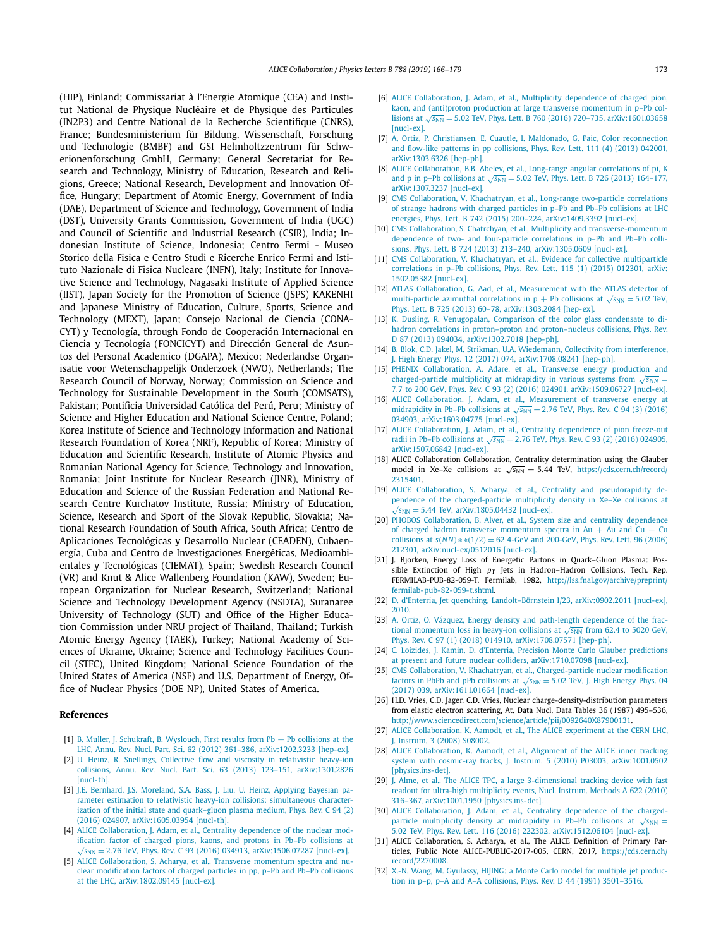<span id="page-7-0"></span>(HIP), Finland; Commissariat à l'Energie Atomique (CEA) and Institut National de Physique Nucléaire et de Physique des Particules (IN2P3) and Centre National de la Recherche Scientifique (CNRS), France; Bundesministerium für Bildung, Wissenschaft, Forschung und Technologie (BMBF) and GSI Helmholtzzentrum für Schwerionenforschung GmbH, Germany; General Secretariat for Research and Technology, Ministry of Education, Research and Religions, Greece; National Research, Development and Innovation Office, Hungary; Department of Atomic Energy, Government of India (DAE), Department of Science and Technology, Government of India (DST), University Grants Commission, Government of India (UGC) and Council of Scientific and Industrial Research (CSIR), India; Indonesian Institute of Science, Indonesia; Centro Fermi - Museo Storico della Fisica e Centro Studi e Ricerche Enrico Fermi and Istituto Nazionale di Fisica Nucleare (INFN), Italy; Institute for Innovative Science and Technology, Nagasaki Institute of Applied Science (IIST), Japan Society for the Promotion of Science (JSPS) KAKENHI and Japanese Ministry of Education, Culture, Sports, Science and Technology (MEXT), Japan; Consejo Nacional de Ciencia (CONA-CYT) y Tecnología, through Fondo de Cooperación Internacional en Ciencia y Tecnología (FONCICYT) and Dirección General de Asuntos del Personal Academico (DGAPA), Mexico; Nederlandse Organisatie voor Wetenschappelijk Onderzoek (NWO), Netherlands; The Research Council of Norway, Norway; Commission on Science and Technology for Sustainable Development in the South (COMSATS), Pakistan; Pontificia Universidad Católica del Perú, Peru; Ministry of Science and Higher Education and National Science Centre, Poland; Korea Institute of Science and Technology Information and National Research Foundation of Korea (NRF), Republic of Korea; Ministry of Education and Scientific Research, Institute of Atomic Physics and Romanian National Agency for Science, Technology and Innovation, Romania; Joint Institute for Nuclear Research (JINR), Ministry of Education and Science of the Russian Federation and National Research Centre Kurchatov Institute, Russia; Ministry of Education, Science, Research and Sport of the Slovak Republic, Slovakia; National Research Foundation of South Africa, South Africa; Centro de Aplicaciones Tecnológicas y Desarrollo Nuclear (CEADEN), Cubaenergía, Cuba and Centro de Investigaciones Energéticas, Medioambientales y Tecnológicas (CIEMAT), Spain; Swedish Research Council (VR) and Knut & Alice Wallenberg Foundation (KAW), Sweden; European Organization for Nuclear Research, Switzerland; National Science and Technology Development Agency (NSDTA), Suranaree University of Technology (SUT) and Office of the Higher Education Commission under NRU project of Thailand, Thailand; Turkish Atomic Energy Agency (TAEK), Turkey; National Academy of Sciences of Ukraine, Ukraine; Science and Technology Facilities Council (STFC), United Kingdom; National Science Foundation of the United States of America (NSF) and U.S. Department of Energy, Office of Nuclear Physics (DOE NP), United States of America.

#### **References**

- [1] B. Muller, J. Schukraft, B. [Wyslouch,](http://refhub.elsevier.com/S0370-2693(18)30823-2/bib4D756C6C65723A323031327A71s1) First results from Pb + Pb collisions at the LHC, Annu. Rev. Nucl. Part. Sci. 62 (2012) 361–386, [arXiv:1202.3233 \[hep-ex\].](http://refhub.elsevier.com/S0370-2693(18)30823-2/bib4D756C6C65723A323031327A71s1)
- [2] U. Heinz, R. Snellings, Collective flow and viscosity in [relativistic](http://refhub.elsevier.com/S0370-2693(18)30823-2/bib4865696E7A3A323031337468s1) heavy-ion collisions, Annu. Rev. Nucl. Part. Sci. 63 (2013) 123–151, [arXiv:1301.2826](http://refhub.elsevier.com/S0370-2693(18)30823-2/bib4865696E7A3A323031337468s1) [\[nucl-th\].](http://refhub.elsevier.com/S0370-2693(18)30823-2/bib4865696E7A3A323031337468s1)
- [3] J.E. Bernhard, J.S. [Moreland,](http://refhub.elsevier.com/S0370-2693(18)30823-2/bib4265726E686172643A32303136746E64s1) S.A. Bass, J. Liu, U. Heinz, Applying Bayesian parameter estimation to relativistic heavy-ion collisions: [simultaneous](http://refhub.elsevier.com/S0370-2693(18)30823-2/bib4265726E686172643A32303136746E64s1) characterization of the initial state and [quark–gluon](http://refhub.elsevier.com/S0370-2693(18)30823-2/bib4265726E686172643A32303136746E64s1) plasma medium, Phys. Rev. C 94 (2) (2016) 024907, [arXiv:1605.03954 \[nucl-th\].](http://refhub.elsevier.com/S0370-2693(18)30823-2/bib4265726E686172643A32303136746E64s1)
- [4] ALICE [Collaboration,](http://refhub.elsevier.com/S0370-2693(18)30823-2/bib4164616D3A32303136747265s1) J. Adam, et al., Centrality dependence of the nuclear mod[ific](http://refhub.elsevier.com/S0370-2693(18)30823-2/bib4164616D3A32303136747265s1)ation factor of charged pions, kaons, and protons in Pb–Pb collisions at √*s*<sub>NN</sub> = 2.76 TeV, Phys. Rev. C 93 (2016) 034913, [arXiv:1506.07287](http://refhub.elsevier.com/S0370-2693(18)30823-2/bib4164616D3A32303136747265s1) [\[nucl-ex\].](http://refhub.elsevier.com/S0370-2693(18)30823-2/bib4164616D3A32303136747265s1)
- [5] ALICE [Collaboration,](http://refhub.elsevier.com/S0370-2693(18)30823-2/bib416368617279613A32303138717368s1) S. Acharya, et al., Transverse momentum spectra and nuclear [modification](http://refhub.elsevier.com/S0370-2693(18)30823-2/bib416368617279613A32303138717368s1) factors of charged particles in pp, p–Pb and Pb–Pb collisions at the LHC, [arXiv:1802.09145 \[nucl-ex\].](http://refhub.elsevier.com/S0370-2693(18)30823-2/bib416368617279613A32303138717368s1)
- [6] ALICE [Collaboration,](http://refhub.elsevier.com/S0370-2693(18)30823-2/bib4164616D3A32303136646175s1) J. Adam, et al., Multiplicity dependence of charged pion, kaon, and [\(anti\)proton](http://refhub.elsevier.com/S0370-2693(18)30823-2/bib4164616D3A32303136646175s1) production at large transverse momentum in p–Pb collisions at  $\sqrt{s_{NN}}$  = 5.02 TeV, Phys. Lett. B 760 (2016) 720–735, [arXiv:1601.03658](http://refhub.elsevier.com/S0370-2693(18)30823-2/bib4164616D3A32303136646175s1) [\[nucl-ex\].](http://refhub.elsevier.com/S0370-2693(18)30823-2/bib4164616D3A32303136646175s1)
- [7] A. Ortiz, P. Christiansen, E. Cuautle, I. Maldonado, G. Paic, Color [reconnection](http://refhub.elsevier.com/S0370-2693(18)30823-2/bib4F7274697A3A32303133797861s1) and flow-like patterns in pp [collisions,](http://refhub.elsevier.com/S0370-2693(18)30823-2/bib4F7274697A3A32303133797861s1) Phys. Rev. Lett. 111 (4) (2013) 042001, [arXiv:1303.6326 \[hep-ph\].](http://refhub.elsevier.com/S0370-2693(18)30823-2/bib4F7274697A3A32303133797861s1)
- [8] ALICE [Collaboration,](http://refhub.elsevier.com/S0370-2693(18)30823-2/bib4142454C45563A32303133777361s1) B.B. Abelev, et al., Long-range angular correlations of pi, K and p in p–Pb [collisions](http://refhub.elsevier.com/S0370-2693(18)30823-2/bib4142454C45563A32303133777361s1) at  $\sqrt{s_{NN}}$  = 5.02 TeV, Phys. Lett. B 726 (2013) 164–177, [arXiv:1307.3237 \[nucl-ex\].](http://refhub.elsevier.com/S0370-2693(18)30823-2/bib4142454C45563A32303133777361s1)
- [9] CMS [Collaboration,](http://refhub.elsevier.com/S0370-2693(18)30823-2/bib4B6861636861747279616E3A323031346A7261s1) V. Khachatryan, et al., Long-range two-particle correlations of strange hadrons with charged particles in p–Pb and Pb–Pb [collisions](http://refhub.elsevier.com/S0370-2693(18)30823-2/bib4B6861636861747279616E3A323031346A7261s1) at LHC energies, Phys. Lett. B 742 (2015) 200–224, [arXiv:1409.3392 \[nucl-ex\].](http://refhub.elsevier.com/S0370-2693(18)30823-2/bib4B6861636861747279616E3A323031346A7261s1)
- [10] CMS Collaboration, S. Chatrchyan, et al., Multiplicity and [transverse-momentum](http://refhub.elsevier.com/S0370-2693(18)30823-2/bib4368617472636879616E3A323031336E6B61s1) dependence of two- and [four-particle](http://refhub.elsevier.com/S0370-2693(18)30823-2/bib4368617472636879616E3A323031336E6B61s1) correlations in p–Pb and Pb–Pb collisions, Phys. Lett. B 724 (2013) 213–240, [arXiv:1305.0609 \[nucl-ex\].](http://refhub.elsevier.com/S0370-2693(18)30823-2/bib4368617472636879616E3A323031336E6B61s1)
- [11] CMS [Collaboration,](http://refhub.elsevier.com/S0370-2693(18)30823-2/bib4B6861636861747279616E3A32303135776161s1) V. Khachatryan, et al., Evidence for collective multiparticle [correlations](http://refhub.elsevier.com/S0370-2693(18)30823-2/bib4B6861636861747279616E3A32303135776161s1) in p–Pb collisions, Phys. Rev. Lett. 115 (1) (2015) 012301, arXiv: [1502.05382 \[nucl-ex\].](http://refhub.elsevier.com/S0370-2693(18)30823-2/bib4B6861636861747279616E3A32303135776161s1)
- [12] ATLAS [Collaboration,](http://refhub.elsevier.com/S0370-2693(18)30823-2/bib4161643A32303133666A61s1) G. Aad, et al., Measurement with the ATLAS detector of [multi-particle](http://refhub.elsevier.com/S0370-2693(18)30823-2/bib4161643A32303133666A61s1) azimuthal correlations in  $p + Pb$  collisions at  $\sqrt{s_{NN}} = 5.02$  TeV, Phys. Lett. B 725 (2013) 60–78, [arXiv:1303.2084 \[hep-ex\].](http://refhub.elsevier.com/S0370-2693(18)30823-2/bib4161643A32303133666A61s1)
- [13] K. Dusling, R. [Venugopalan,](http://refhub.elsevier.com/S0370-2693(18)30823-2/bib4475736C696E673A323031336F6961s1) Comparison of the color glass condensate to dihadron correlations in proton–proton and [proton–nucleus](http://refhub.elsevier.com/S0370-2693(18)30823-2/bib4475736C696E673A323031336F6961s1) collisions, Phys. Rev. D 87 (2013) 094034, [arXiv:1302.7018 \[hep-ph\].](http://refhub.elsevier.com/S0370-2693(18)30823-2/bib4475736C696E673A323031336F6961s1)
- [14] B. Blok, C.D. Jakel, M. Strikman, U.A. [Wiedemann,](http://refhub.elsevier.com/S0370-2693(18)30823-2/bib426C6F6B3A32303137707569s1) Collectivity from interference, J. High Energy Phys. 12 (2017) 074, [arXiv:1708.08241 \[hep-ph\].](http://refhub.elsevier.com/S0370-2693(18)30823-2/bib426C6F6B3A32303137707569s1)
- [15] PHENIX [Collaboration,](http://refhub.elsevier.com/S0370-2693(18)30823-2/bib41646172653A32303135627561s1) A. Adare, et al., Transverse energy production and [charged-particle](http://refhub.elsevier.com/S0370-2693(18)30823-2/bib41646172653A32303135627561s1) multiplicity at midrapidity in various systems from  $\sqrt{s_{NN}}$  = 7*.*7 to 200 GeV, Phys. Rev. C 93 (2) (2016) 024901, [arXiv:1509.06727 \[nucl-ex\].](http://refhub.elsevier.com/S0370-2693(18)30823-2/bib41646172653A32303135627561s1)
- [16] ALICE [Collaboration,](http://refhub.elsevier.com/S0370-2693(18)30823-2/bib4164616D3A32303136746876s1) J. Adam, et al., Measurement of transverse energy at [midrapidity](http://refhub.elsevier.com/S0370-2693(18)30823-2/bib4164616D3A32303136746876s1) in Pb–Pb collisions at  $\sqrt{s_{NN}}$  = 2.76 TeV, Phys. Rev. C 94 (3) (2016) 034903, [arXiv:1603.04775 \[nucl-ex\].](http://refhub.elsevier.com/S0370-2693(18)30823-2/bib4164616D3A32303136746876s1)
- [17] ALICE [Collaboration,](http://refhub.elsevier.com/S0370-2693(18)30823-2/bib4164616D3A32303135766E61s1) J. Adam, et al., Centrality dependence of pion freeze-out radii in Pb–Pb [collisions](http://refhub.elsevier.com/S0370-2693(18)30823-2/bib4164616D3A32303135766E61s1) at  $\sqrt{s_{NN}}$  = 2.76 TeV, Phys. Rev. C 93 (2) (2016) 024905, [arXiv:1507.06842 \[nucl-ex\].](http://refhub.elsevier.com/S0370-2693(18)30823-2/bib4164616D3A32303135766E61s1)
- [18] ALICE Collaboration Collaboration, Centrality determination using the Glauber model in Xe–Xe collisions at  $\sqrt{s_{NN}} = 5.44$  TeV, [https://cds.cern.ch/record/](https://cds.cern.ch/record/2315401) [2315401](https://cds.cern.ch/record/2315401).
- [19] ALICE Collaboration, S. Acharya, et al., Centrality and [pseudorapidity](http://refhub.elsevier.com/S0370-2693(18)30823-2/bib786578652D63656E74s1) de[pe](http://refhub.elsevier.com/S0370-2693(18)30823-2/bib786578652D63656E74s1)ndence of the charged-particle multiplicity density in Xe–Xe collisions at √*s*<sub>NN</sub> = 5.44 TeV, [arXiv:1805.04432](http://refhub.elsevier.com/S0370-2693(18)30823-2/bib786578652D63656E74s1) [\[nucl-ex\].](http://refhub.elsevier.com/S0370-2693(18)30823-2/bib786578652D63656E74s1)
- [20] PHOBOS [Collaboration,](http://refhub.elsevier.com/S0370-2693(18)30823-2/bib416C7665723A323030356E62s1) B. Alver, et al., System size and centrality dependence of charged hadron transverse [momentum](http://refhub.elsevier.com/S0370-2693(18)30823-2/bib416C7665723A323030356E62s1) spectra in Au + Au and Cu + Cu [collisions](http://refhub.elsevier.com/S0370-2693(18)30823-2/bib416C7665723A323030356E62s1) at *s(N N)*∗∗*(*1*/*2*)* = 62*.*4-GeV and 200-GeV, Phys. Rev. Lett. 96 (2006) 212301, [arXiv:nucl-ex/0512016 \[nucl-ex\].](http://refhub.elsevier.com/S0370-2693(18)30823-2/bib416C7665723A323030356E62s1)
- [21] J. Bjorken, Energy Loss of Energetic Partons in Quark–Gluon Plasma: Possible Extinction of High  $p_T$  Jets in Hadron–Hadron Collisions, Tech. Rep. FERMILAB-PUB-82-059-T, Fermilab, 1982, [http://lss.fnal.gov/archive/preprint/](http://lss.fnal.gov/archive/preprint/fermilab-pub-82-059-t.shtml) [fermilab-pub-82-059-t.shtml](http://lss.fnal.gov/archive/preprint/fermilab-pub-82-059-t.shtml).
- [22] D. d'Enterria, Jet quenching, Landolt–Börnstein I/23, [arXiv:0902.2011 \[nucl-ex\],](http://refhub.elsevier.com/S0370-2693(18)30823-2/bib6427456E7465727269613A32303039616Ds1) [2010.](http://refhub.elsevier.com/S0370-2693(18)30823-2/bib6427456E7465727269613A32303039616Ds1)
- [23] A. Ortiz, O. Vázquez, Energy density and path-length [dependence](http://refhub.elsevier.com/S0370-2693(18)30823-2/bib4F7274697A3A3230313763756Cs1) of the fractional [momentum](http://refhub.elsevier.com/S0370-2693(18)30823-2/bib4F7274697A3A3230313763756Cs1) loss in heavy-ion collisions at  $\sqrt{s_{NN}}$  from 62.4 to 5020 GeV, Phys. Rev. C 97 (1) (2018) 014910, [arXiv:1708.07571 \[hep-ph\].](http://refhub.elsevier.com/S0370-2693(18)30823-2/bib4F7274697A3A3230313763756Cs1)
- [24] C. Loizides, J. Kamin, D. d'Enterria, Precision Monte Carlo Glauber [predictions](http://refhub.elsevier.com/S0370-2693(18)30823-2/bib4C6F697A696465733A3230313761636Bs1) at present and future nuclear colliders, [arXiv:1710.07098 \[nucl-ex\].](http://refhub.elsevier.com/S0370-2693(18)30823-2/bib4C6F697A696465733A3230313761636Bs1)
- [25] CMS Collaboration, V. Khachatryan, et al., [Charged-particle](http://refhub.elsevier.com/S0370-2693(18)30823-2/bib4B6861636861747279616E3A323031366F646Es1) nuclear modification factors in PbPb and pPb [collisions](http://refhub.elsevier.com/S0370-2693(18)30823-2/bib4B6861636861747279616E3A323031366F646Es1) at  $\sqrt{s_{NN}}$  = 5.02 TeV, J. High Energy Phys. 04 (2017) 039, [arXiv:1611.01664 \[nucl-ex\].](http://refhub.elsevier.com/S0370-2693(18)30823-2/bib4B6861636861747279616E3A323031366F646Es1)
- [26] H.D. Vries, C.D. Jager, C.D. Vries, Nuclear charge-density-distribution parameters from elastic electron scattering, At. Data Nucl. Data Tables 36 (1987) 495–536, <http://www.sciencedirect.com/science/article/pii/0092640X87900131>.
- [27] ALICE [Collaboration,](http://refhub.elsevier.com/S0370-2693(18)30823-2/bib41616D6F64743A323030387A7As1) K. Aamodt, et al., The ALICE experiment at the CERN LHC, J. [Instrum.](http://refhub.elsevier.com/S0370-2693(18)30823-2/bib41616D6F64743A323030387A7As1) 3 (2008) S08002.
- [28] ALICE [Collaboration,](http://refhub.elsevier.com/S0370-2693(18)30823-2/bib41616D6F64743A323031306161s1) K. Aamodt, et al., Alignment of the ALICE inner tracking system with cosmic-ray tracks, J. Instrum. 5 (2010) P03003, [arXiv:1001.0502](http://refhub.elsevier.com/S0370-2693(18)30823-2/bib41616D6F64743A323031306161s1) [\[physics.ins-det\].](http://refhub.elsevier.com/S0370-2693(18)30823-2/bib41616D6F64743A323031306161s1)
- [29] J. Alme, et al., The ALICE TPC, a large [3-dimensional](http://refhub.elsevier.com/S0370-2693(18)30823-2/bib416C6D653A323031306B65s1) tracking device with fast readout for ultra-high [multiplicity](http://refhub.elsevier.com/S0370-2693(18)30823-2/bib416C6D653A323031306B65s1) events, Nucl. Instrum. Methods A 622 (2010) 316–367, [arXiv:1001.1950 \[physics.ins-det\].](http://refhub.elsevier.com/S0370-2693(18)30823-2/bib416C6D653A323031306B65s1)
- [30] ALICE [Collaboration,](http://refhub.elsevier.com/S0370-2693(18)30823-2/bib4164616D3A32303135707474s1) J. Adam, et al., Centrality dependence of the chargedparticle multiplicity density at [midrapidity](http://refhub.elsevier.com/S0370-2693(18)30823-2/bib4164616D3A32303135707474s1) in Pb–Pb collisions at  $\sqrt{s_{NN}}$  = 5*.*02 TeV, Phys. Rev. Lett. 116 (2016) 222302, [arXiv:1512.06104 \[nucl-ex\].](http://refhub.elsevier.com/S0370-2693(18)30823-2/bib4164616D3A32303135707474s1)
- [31] ALICE Collaboration, S. Acharya, et al., The ALICE Definition of Primary Particles, Public Note ALICE-PUBLIC-2017-005, CERN, 2017, [https://cds.cern.ch/](https://cds.cern.ch/record/2270008) [record/2270008](https://cds.cern.ch/record/2270008).
- [32] X.-N. Wang, M. [Gyulassy,](http://refhub.elsevier.com/S0370-2693(18)30823-2/bib57616E673A31393931687461s1) HIJING: a Monte Carlo model for multiple jet production in p–p, p–A and A–A collisions, Phys. Rev. D 44 (1991) [3501–3516.](http://refhub.elsevier.com/S0370-2693(18)30823-2/bib57616E673A31393931687461s1)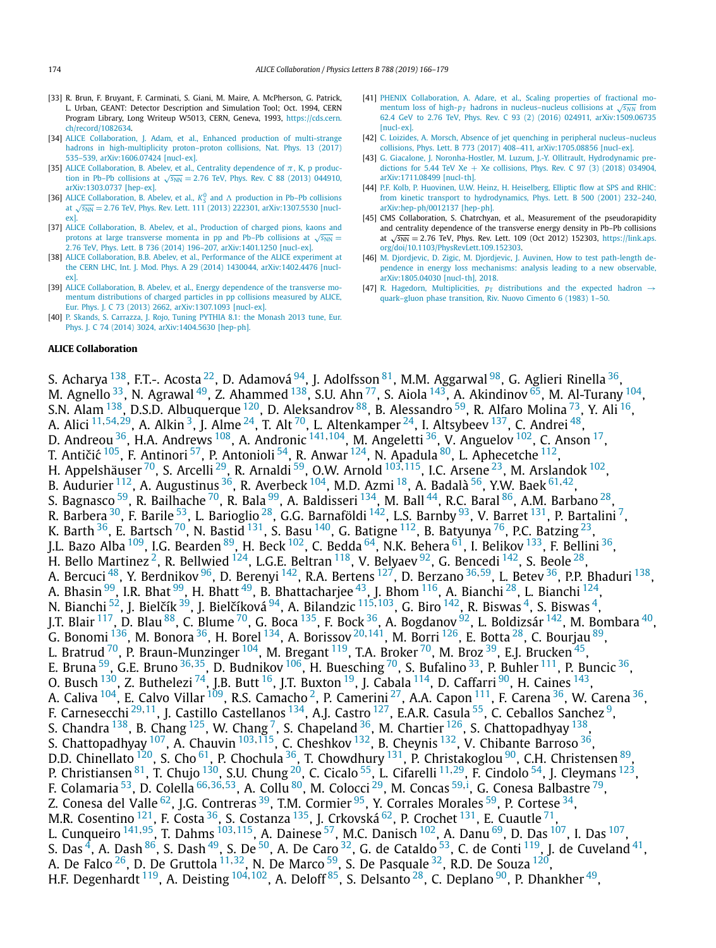- <span id="page-8-0"></span>[33] R. Brun, F. Bruyant, F. Carminati, S. Giani, M. Maire, A. McPherson, G. Patrick, L. Urban, GEANT: Detector Description and Simulation Tool; Oct. 1994, CERN Program Library, Long Writeup W5013, CERN, Geneva, 1993, [https://cds.cern.](https://cds.cern.ch/record/1082634) [ch/record/1082634](https://cds.cern.ch/record/1082634).
- [34] ALICE [Collaboration,](http://refhub.elsevier.com/S0370-2693(18)30823-2/bib414C4943453A323031376A7974s1) J. Adam, et al., Enhanced production of multi-strange hadrons in [high-multiplicity](http://refhub.elsevier.com/S0370-2693(18)30823-2/bib414C4943453A323031376A7974s1) proton–proton collisions, Nat. Phys. 13 (2017) 535–539, [arXiv:1606.07424 \[nucl-ex\].](http://refhub.elsevier.com/S0370-2693(18)30823-2/bib414C4943453A323031376A7974s1)
- [35] ALICE [Collaboration,](http://refhub.elsevier.com/S0370-2693(18)30823-2/bib4162656C65763A32303133766561s1) B. Abelev, et al., Centrality dependence of  $\pi$ , K, p production in Pb–Pb [collisions](http://refhub.elsevier.com/S0370-2693(18)30823-2/bib4162656C65763A32303133766561s1) at  $\sqrt{s_{NN}}$  = 2.76 TeV, Phys. Rev. C 88 (2013) 044910, [arXiv:1303.0737 \[hep-ex\].](http://refhub.elsevier.com/S0370-2693(18)30823-2/bib4162656C65763A32303133766561s1)
- [36] ALICE [Collaboration,](http://refhub.elsevier.com/S0370-2693(18)30823-2/bib4162656C65763A32303133786161s1) B. Abelev, et al.,  $K_S^0$  and  $\Lambda$  production in Pb–Pb collisions at  $\sqrt{s_{NN}}$  = 2.76 TeV, Phys. Rev. Lett. 111 (2013) 222301, [arXiv:1307.5530 \[nucl](http://refhub.elsevier.com/S0370-2693(18)30823-2/bib4162656C65763A32303133786161s1)[ex\].](http://refhub.elsevier.com/S0370-2693(18)30823-2/bib4162656C65763A32303133786161s1)
- [37] ALICE [Collaboration,](http://refhub.elsevier.com/S0370-2693(18)30823-2/bib4162656C65763A323031346C6161s1) B. Abelev, et al., Production of charged pions, kaons and protons at large [transverse](http://refhub.elsevier.com/S0370-2693(18)30823-2/bib4162656C65763A323031346C6161s1) momenta in pp and Pb–Pb collisions at  $\sqrt{s_{NN}}$  = 2*.*76 TeV, Phys. Lett. B 736 (2014) 196–207, [arXiv:1401.1250 \[nucl-ex\].](http://refhub.elsevier.com/S0370-2693(18)30823-2/bib4162656C65763A323031346C6161s1)
- [38] ALICE [Collaboration,](http://refhub.elsevier.com/S0370-2693(18)30823-2/bib4162656C65763A32303134666661s1) B.B. Abelev, et al., Performance of the ALICE experiment at the CERN LHC, Int. J. Mod. Phys. A 29 (2014) 1430044, [arXiv:1402.4476 \[nucl](http://refhub.elsevier.com/S0370-2693(18)30823-2/bib4162656C65763A32303134666661s1)[ex\].](http://refhub.elsevier.com/S0370-2693(18)30823-2/bib4162656C65763A32303134666661s1)
- [39] ALICE [Collaboration,](http://refhub.elsevier.com/S0370-2693(18)30823-2/bib4162656C65763A32303133616C61s1) B. Abelev, et al., Energy dependence of the transverse momentum [distributions](http://refhub.elsevier.com/S0370-2693(18)30823-2/bib4162656C65763A32303133616C61s1) of charged particles in pp collisions measured by ALICE, Eur. Phys. J. C 73 (2013) 2662, [arXiv:1307.1093 \[nucl-ex\].](http://refhub.elsevier.com/S0370-2693(18)30823-2/bib4162656C65763A32303133616C61s1)
- [40] P. Skands, S. [Carrazza,](http://refhub.elsevier.com/S0370-2693(18)30823-2/bib536B616E64733A323031346D6F6Es1) J. Rojo, Tuning PYTHIA 8.1: the Monash 2013 tune, Eur. Phys. J. C 74 (2014) 3024, [arXiv:1404.5630 \[hep-ph\].](http://refhub.elsevier.com/S0370-2693(18)30823-2/bib536B616E64733A323031346D6F6Es1)

#### **ALICE Collaboration**

[41] PHENIX [Collaboration,](http://refhub.elsevier.com/S0370-2693(18)30823-2/bib41646172653A32303135637561s1) A. Adare, et al., Scaling properties of fractional momentum loss of high- $p_T$  hadrons in [nucleus–nucleus](http://refhub.elsevier.com/S0370-2693(18)30823-2/bib41646172653A32303135637561s1) collisions at  $\sqrt{s_{NN}}$  from 62.4 GeV to 2.76 TeV, Phys. Rev. C 93 (2) (2016) 024911, [arXiv:1509.06735](http://refhub.elsevier.com/S0370-2693(18)30823-2/bib41646172653A32303135637561s1) [\[nucl-ex\].](http://refhub.elsevier.com/S0370-2693(18)30823-2/bib41646172653A32303135637561s1)

- [42] C. Loizides, A. Morsch, Absence of jet quenching in peripheral [nucleus–nucleus](http://refhub.elsevier.com/S0370-2693(18)30823-2/bib4D6F727363683A32303137627262s1) collisions, Phys. Lett. B 773 (2017) 408–411, [arXiv:1705.08856 \[nucl-ex\].](http://refhub.elsevier.com/S0370-2693(18)30823-2/bib4D6F727363683A32303137627262s1)
- [43] G. Giacalone, J. [Noronha-Hostler,](http://refhub.elsevier.com/S0370-2693(18)30823-2/bib47696163616C6F6E653A32303137647564s1) M. Luzum, J.-Y. Ollitrault, Hydrodynamic predictions for 5.44 TeV Xe + Xe [collisions,](http://refhub.elsevier.com/S0370-2693(18)30823-2/bib47696163616C6F6E653A32303137647564s1) Phys. Rev. C 97 (3) (2018) 034904, [arXiv:1711.08499 \[nucl-th\].](http://refhub.elsevier.com/S0370-2693(18)30823-2/bib47696163616C6F6E653A32303137647564s1)
- [44] P.F. Kolb, P. Huovinen, U.W. Heinz, H. [Heiselberg,](http://refhub.elsevier.com/S0370-2693(18)30823-2/bib4B6F6C623A32303030666861s1) Elliptic flow at SPS and RHIC: from kinetic transport to [hydrodynamics,](http://refhub.elsevier.com/S0370-2693(18)30823-2/bib4B6F6C623A32303030666861s1) Phys. Lett. B 500 (2001) 232–240, [arXiv:hep-ph/0012137 \[hep-ph\].](http://refhub.elsevier.com/S0370-2693(18)30823-2/bib4B6F6C623A32303030666861s1)
- [45] CMS Collaboration, S. Chatrchyan, et al., Measurement of the pseudorapidity and centrality dependence of the transverse energy density in Pb–Pb collisions at  $\sqrt{s_{NN}}$  = 2.76 TeV, Phys. Rev. Lett. 109 (Oct 2012) 152303, [https://link.aps.](https://link.aps.org/doi/10.1103/PhysRevLett.109.152303) [org/doi/10.1103/PhysRevLett.109.152303](https://link.aps.org/doi/10.1103/PhysRevLett.109.152303).
- [46] M. Djordjevic, D. Zigic, M. Djordjevic, J. Auvinen, How to test [path-length](http://refhub.elsevier.com/S0370-2693(18)30823-2/bib446A6F72646A657669633A32303138s1) dependence in energy loss [mechanisms:](http://refhub.elsevier.com/S0370-2693(18)30823-2/bib446A6F72646A657669633A32303138s1) analysis leading to a new observable, [arXiv:1805.04030 \[nucl-th\],](http://refhub.elsevier.com/S0370-2693(18)30823-2/bib446A6F72646A657669633A32303138s1) 2018.
- [47] R. Hagedorn, [Multiplicities,](http://refhub.elsevier.com/S0370-2693(18)30823-2/bib48616765646F726E3A31393833747975s1)  $p_T$  distributions and the expected hadron  $\rightarrow$ [quark–gluon](http://refhub.elsevier.com/S0370-2693(18)30823-2/bib48616765646F726E3A31393833747975s1) phase transition, Riv. Nuovo Cimento 6 (1983) 1–50.

S. Acharya <sup>[138](#page-13-0)</sup>, F.T.-. Acosta <sup>22</sup>, D. Adamová <sup>94</sup>, J. Adolfsson <sup>81</sup>, M.M. Aggarwal <sup>98</sup>, G. Aglieri Rinella <sup>36</sup>, M. Agnello  $^{33}$ , N. Agrawal  $^{49}$ , Z. Ahammed  $^{138}$ , S.U. Ahn  $^{77}$ , S. Aiola  $^{143}$ , A. Akindinov  $^{65}$ , M. Al-Turany  $^{104}$ , S.N. Alam  $^{138}$ , D.S.D. Albuquerque  $^{120}$ , D. Aleksandrov  $^{88}$  $^{88}$  $^{88}$ , B. Alessandro  $^{59}$ , R. Alfaro Molina  $^{73}$ , Y. Ali  $^{16}$ , A. Alici [11](#page-11-0)*,*[54](#page-11-0)*,*[29,](#page-11-0) A. Alkin [3,](#page-11-0) J. Alme [24,](#page-11-0) T. Alt [70,](#page-12-0) L. Altenkamper [24](#page-11-0), I. Altsybeev [137,](#page-13-0) C. Andrei [48,](#page-11-0) D. Andreou <sup>[36](#page-11-0)</sup>, H.A. Andrews <sup>108</sup>, A. Andronic <sup>[141](#page-13-0), [104](#page-12-0)</sup>, M. Angeletti <sup>36</sup>, V. Anguelov <sup>102</sup>, C. Anson <sup>17</sup>, T. Antičić <sup>105</sup>, F. Antinori <sup>57</sup>, P. Antonioli <sup>54</sup>, R. Anwar <sup>124</sup>, N. Apadula <sup>80</sup>, L. Aphecetche <sup>112</sup>, H. Appelshäuser [70,](#page-12-0) S. Arcelli [29,](#page-11-0) R. Arnaldi [59,](#page-12-0) O.W. Arnold [103](#page-12-0)*,*[115,](#page-12-0) I.C. Arsene [23,](#page-11-0) M. Arslandok [102,](#page-12-0) B. Audurier [112,](#page-12-0) A. Augustinus [36,](#page-11-0) R. Averbeck [104,](#page-12-0) M.D. Azmi [18,](#page-11-0) A. Badalà [56,](#page-11-0) Y.W. Baek [61](#page-12-0)*,*[42,](#page-11-0) S. Bagnasco <sup>59</sup>, R. Bailhache <sup>70</sup>, R. Bala <sup>99</sup>, A. Baldisseri <sup>134</sup>, M. Ball <sup>44</sup>, R.C. Baral <sup>86</sup>, A.M. Barbano <sup>28</sup> R. Barbera  $^{30}$ , F. Barile  $^{53}$  $^{53}$  $^{53}$ , L. Barioglio  $^{28}$  $^{28}$  $^{28}$ , G.G. Barnaföldi  $^{142}$ , L.S. Barnby  $^{93}$ , V. Barret  $^{131}$ , P. Bartalini  $^7$ , K. Barth  $^{36}$ , E. Bartsch  $^{70}$ , N. Bastid  $^{131}$ , S. Basu  $^{140}$ , G. Batigne  $^{112}$ , B. Batyunya  $^{76}$ , P.C. Batzing  $^{23}$ , J.L. Bazo Alba  $^{109}$ , I.G. Bearden  $^{89}$ , H. Beck  $^{102}$ , C. Bedda  $^{64}$ , N.K. Behera  $^{61}$ , I. Belikov  $^{133}$ , F. Bellini  $^{36}$ , H. Bello Martinez<sup>2</sup>, R. Bellwied <sup>124</sup>, L.G.E. Beltran <sup>118</sup>, V. Belyaev <sup>92</sup>, G. Bencedi <sup>142</sup>, S. Beole <sup>28</sup>, A. Bercuci [48,](#page-11-0) Y. Berdnikov [96,](#page-12-0) D. Berenyi [142,](#page-13-0) R.A. Bertens [127,](#page-12-0) D. Berzano [36](#page-11-0)*,*[59](#page-12-0), L. Betev [36,](#page-11-0) P.P. Bhaduri [138,](#page-13-0) A. Bhasin  $99$ , I.R. Bhat  $99$ , H. Bhatt  $49$ , B. Bhattacharjee  $43$ , J. Bhom  $116$ , A. Bianchi  $^{28}$ , L. Bianchi  $^{124}$ , N. Bianchi <sup>52</sup>, J. Bielčík <sup>39</sup>, J. Bielčíková <sup>94</sup>, A. Bilandzic <sup>[115](#page-12-0),103</sup>, G. Biro <sup>[142](#page-13-0)</sup>, R. Biswas <sup>4</sup>, S. Biswas <sup>4</sup>, J.T. Blair <sup>117</sup>, D. Blau <sup>88</sup>, C. Blume <sup>70</sup>, G. Boca <sup>135</sup>, F. Bock <sup>36</sup>, A. Bogdanov <sup>92</sup>, L. Boldizsár <sup>142</sup>, M. Bombara <sup>40</sup>, G. Bonomi [136,](#page-13-0) M. Bonora [36,](#page-11-0) H. Borel [134,](#page-12-0) A. Borissov [20](#page-11-0)*,*[141,](#page-13-0) M. Borri [126,](#page-12-0) E. Botta [28,](#page-11-0) C. Bourjau [89,](#page-12-0) L. Bratrud<sup>70</sup>, P. Braun-Munzinger <sup>104</sup>, M. Bregant <sup>119</sup>, T.A. Broker <sup>70</sup>, M. Broz <sup>39</sup>, E.J. Brucken <sup>45</sup>, E. Bruna <sup>59</sup>, G.E. Bruno <sup>[36](#page-11-0), 35</sup>, D. Budnikov <sup>[106](#page-12-0)</sup>, H. Buesching <sup>70</sup>, S. Bufalino <sup>33</sup>, P. Buhler <sup>111</sup>, P. Buncic <sup>36</sup>, O. Busch  $^{130}$ , Z. Buthelezi  $^{74}$ , J.B. Butt  $^{16}$  $^{16}$  $^{16}$ , J.T. Buxton  $^{19}$ , J. Cabala  $^{114}$ , D. Caffarri  $^{90}$ , H. Caines  $^{143}$ , A. Caliva <sup>104</sup>, E. Calvo Villar <sup>[109](#page-12-0)</sup>, R.S. Camacho <sup>2</sup>, P. Camerini <sup>27</sup>, A.A. Capon <sup>111</sup>, F. Carena <sup>36</sup>, W. Carena <sup>36</sup>, F. Carnesecchi <sup>[29](#page-11-0),11</sup>, J. Castillo Castellanos<sup>134</sup>, A.J. Castro<sup>127</sup>, E.A.R. Casula <sup>55</sup>, C. Ceballos Sanchez<sup>9</sup>, S. Chandra  $^{138}$ , B. Chang  $^{125}$ , W. Chang  $^7$ , S. Chapeland  $^{36}$  $^{36}$  $^{36}$ , M. Chartier  $^{126}$ , S. Chattopadhyay  $^{138}$ , S. Chattopadhyay [107,](#page-12-0) A. Chauvin [103](#page-12-0)*,*[115,](#page-12-0) C. Cheshkov [132,](#page-12-0) B. Cheynis [132,](#page-12-0) V. Chibante Barroso [36,](#page-11-0) D.D. Chinellato  $^{120}$ , S. Cho $^{61}$ , P. Chochula  $^{36}$ , T. Chowdhury  $^{131}$ , P. Christakoglou  $^{90}$ , C.H. Christensen  $^{89}$ , P. Christiansen [81,](#page-12-0) T. Chujo [130,](#page-12-0) S.U. Chung [20,](#page-11-0) C. Cicalo [55,](#page-11-0) L. Cifarelli [11](#page-11-0)*,*[29](#page-11-0), F. Cindolo [54,](#page-11-0) J. Cleymans [123,](#page-12-0) F. Colamaria [53,](#page-11-0) D. Colella [66](#page-12-0)*,*[36](#page-11-0)*,*[53](#page-11-0), A. Collu [80,](#page-12-0) M. Colocci [29,](#page-11-0) M. Concas [59](#page-12-0)*,*[i](#page-13-0) , G. Conesa Balbastre [79,](#page-12-0) Z. Conesa del Valle <sup>62</sup>, J.G. Contreras <sup>39</sup>, T.M. Cormier <sup>95</sup>, Y. Corrales Morales <sup>59</sup>, P. Cortese <sup>34</sup>, M.R. Cosentino  $^{121}$ , F. Costa  $^{36}$ , S. Costanza  $^{135}$ , J. Crkovská  $^{62}$ , P. Crochet  $^{131}$  $^{131}$  $^{131}$ , E. Cuautle  $^{71}$ , L. Cunqueiro <sup>[141](#page-13-0), 95</sup>, T. Dahms <sup>[103](#page-12-0), 115</sup>, A. Dainese <sup>57</sup>, M.C. Danisch <sup>102</sup>, A. Danu <sup>[69](#page-12-0)</sup>, D. Das <sup>107</sup>, I. Das <sup>107</sup>, S. Das  $^4$ , A. Dash  $^{86}$ , S. Dash  $^{49}$ , S. De  $^{50}$ , A. De Caro  $^{32}$ , G. de Cataldo  $^{53}$ , C. de Conti  $^{119}$ , J. de Cuveland  $^{41}$ , A. De Falco [26,](#page-11-0) D. De Gruttola [11](#page-11-0)*,*[32,](#page-11-0) N. De Marco [59,](#page-12-0) S. De Pasquale [32,](#page-11-0) R.D. De Souza [120,](#page-12-0) H.F. Degenhardt [119,](#page-12-0) A. Deisting [104](#page-12-0)*,*[102,](#page-12-0) A. Deloff [85,](#page-12-0) S. Delsanto [28,](#page-11-0) C. Deplano [90,](#page-12-0) P. Dhankher [49,](#page-11-0)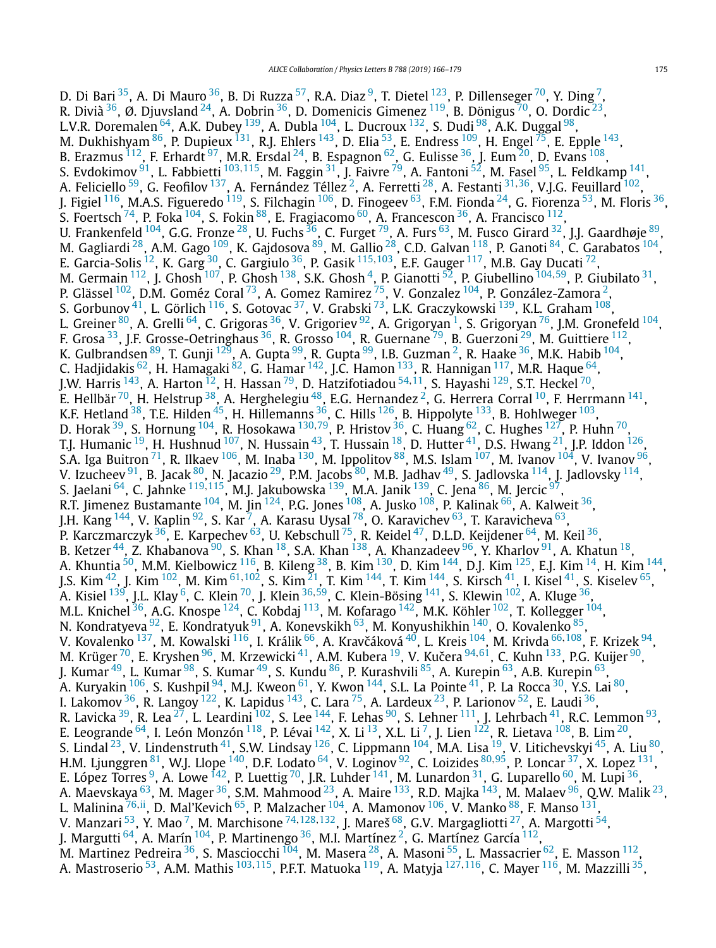D. Di Bari <sup>35</sup>, A. Di Mauro <sup>36</sup>, B. Di Ruzza <sup>[57](#page-11-0)</sup>, R.A. Diaz <sup>9</sup>, T. Dietel <sup>123</sup>, P. Dillenseger <sup>70</sup>, Y. Ding <sup>7</sup>, R. Divià  $36$ , Ø. Djuvsland  $24$ , A. Dobrin  $36$ , D. Domenicis Gimenez  $119$ , B. Dönigus  $70$ , O. Dordic  $23$ L.V.R. Doremalen  $^{64}$  $^{64}$  $^{64}$ , A.K. Dubey  $^{139}$ , A. Dubla  $^{104}$ , L. Ducroux  $^{132}$ , S. Dudi  $^{98}$ , A.K. Duggal  $^{98}$ , M. Dukhishyam  $^{86}$ , P. Dupieux  $^{131}$ , R.J. Ehlers  $^{143}$ , D. Elia  $^{53}$ , E. Endress  $^{109}$ , H. Engel  $^{75}$ , E. Epple  $^{143}$ , B. Erazmus  $^{112}$ , F. Erhardt  $^{97}$ , M.R. Ersdal  $^{24}$  $^{24}$  $^{24}$ , B. Espagnon  $^{62}$ , G. Eulisse  $^{36}$ , J. Eum  $^{20}$ , D. Evans  $^{108}$ , S. Evdokimov [91,](#page-12-0) L. Fabbietti [103](#page-12-0)*,*[115](#page-12-0), M. Faggin [31,](#page-11-0) J. Faivre [79,](#page-12-0) A. Fantoni [52,](#page-11-0) M. Fasel [95,](#page-12-0) L. Feldkamp [141,](#page-13-0) A. Feliciello <sup>[59](#page-12-0)</sup>, G. Feofilov <sup>137</sup>, A. Fernández Téllez<sup>2</sup>, A. Ferretti <sup>28</sup>, A. Festanti <sup>[31](#page-11-0),36</sup>, V.J.G. Feuillard <sup>102</sup>, J. Figiel <sup>116</sup>, M.A.S. Figueredo <sup>119</sup>, S. Filchagin <sup>106</sup>, D. Finogeev <sup>63</sup>, F.M. Fionda <sup>24</sup>, G. Fiorenza <sup>53</sup>, M. Floris <sup>36</sup>, S. Foertsch  $^{74}$ , P. Foka  $^{104}$ , S. Fokin  $^{88}$ , E. Fragiacomo  $^{60}$ , A. Francescon  $^{36}$ , A. Francisco  $^{112}$ , U. Frankenfeld <sup>104</sup>, G.G. Fronze <sup>28</sup>, U. Fuchs <sup>[36](#page-11-0)</sup>, C. Furget <sup>79</sup>, A. Furs <sup>63</sup>, M. Fusco Girard <sup>32</sup>, J.J. Gaardhøje <sup>89</sup>, M. Gagliardi <sup>28</sup>, A.M. Gago <sup>109</sup>, K. Gajdosova <sup>89</sup>, M. Gallio <sup>28</sup>, C.D. Galvan <sup>118</sup>, P. Ganoti <sup>84</sup>, C. Garabatos <sup>104</sup>, E. Garcia-Solis [12,](#page-11-0) K. Garg [30,](#page-11-0) C. Gargiulo [36,](#page-11-0) P. Gasik [115](#page-12-0)*,*[103,](#page-12-0) E.F. Gauger [117,](#page-12-0) M.B. Gay Ducati [72](#page-12-0), M. Germain [112,](#page-12-0) J. Ghosh [107,](#page-12-0) P. Ghosh [138,](#page-13-0) S.K. Ghosh [4,](#page-11-0) P. Gianotti [52,](#page-11-0) P. Giubellino [104](#page-12-0)*,*[59,](#page-12-0) P. Giubilato [31,](#page-11-0) P. Glässel <sup>102</sup>, D.M. Goméz Coral <sup>73</sup>, A. Gomez Ramirez <sup>75</sup>, V. Gonzalez <sup>104</sup>, P. González-Zamora <sup>2</sup>, S. Gorbunov  $^{41}$ , L. Görlich  $^{116}$ , S. Gotovac  $^{37}$ , V. Grabski  $^{73}$  $^{73}$  $^{73}$ , L.K. Graczykowski  $^{139}$  $^{139}$  $^{139}$ , K.L. Graham  $^{108}$ , L. Greiner <sup>80</sup>, A. Grelli <sup>64</sup>, C. Grigoras <sup>36</sup>, V. Grigoriev <sup>92</sup>, A. Grigoryan <sup>[1](#page-11-0)</sup>, S. Grigoryan <sup>76</sup>, J.M. Gronefeld <sup>104</sup>, F. Grosa <sup>33</sup>, J.F. Grosse-Oetringhaus <sup>36</sup>, R. Grosso <sup>104</sup>, R. Guernane <sup>79</sup>, B. Guerzoni <sup>29</sup>, M. Guittiere <sup>112</sup>, K. Gulbrandsen <sup>89</sup>, T. Gunji <sup>129</sup>, A. Gupta <sup>99</sup>, R. Gupta <sup>99</sup>, I.B. Guzman <sup>2</sup>, R. Haake <sup>[36](#page-11-0)</sup>, M.K. Habib <sup>104</sup>, C. Hadjidakis <sup>62</sup>, H. Hamagaki <sup>82</sup>, G. Hamar <sup>142</sup>, J.C. Hamon <sup>133</sup>, R. Hannigan <sup>117</sup>, M.R. Haque <sup>64</sup>, J.W. Harris [143,](#page-13-0) A. Harton [12,](#page-11-0) H. Hassan [79,](#page-12-0) D. Hatzifotiadou [54](#page-11-0)*,*[11](#page-11-0), S. Hayashi [129,](#page-12-0) S.T. Heckel [70,](#page-12-0) E. Hellbär  $^{70}$ , H. Helstrup  $^{38}$ , A. Herghelegiu  $^{48}$ , E.G. Hernandez  $^2$ , G. Herrera Corral  $^{10}$ , F. Herrmann  $^{141}$ , K.F. Hetland  $^{38}$ , T.E. Hilden  $^{45}$ , H. Hillemanns  $^{36}$ , C. Hills  $^{126}$ , B. Hippolyte  $^{133}$ , B. Hohlweger  $^{103}$  $^{103}$  $^{103}$ , D. Horak [39,](#page-11-0) S. Hornung [104,](#page-12-0) R. Hosokawa [130](#page-12-0)*,*[79,](#page-12-0) P. Hristov [36,](#page-11-0) C. Huang [62](#page-12-0), C. Hughes [127](#page-12-0), P. Huhn [70,](#page-12-0) T.J. Humanic <sup>19</sup>, H. Hushnud <sup>107</sup>, N. Hussain <sup>43</sup>, T. Hussain <sup>18</sup>, D. Hutter <sup>41</sup>, D.S. Hwang <sup>21</sup>, J.P. Iddon <sup>126</sup>, S.A. Iga Buitron $^{71}$ , R. Ilkaev $^{106}$ , M. Inaba $^{130}$ , M. Ippolitov $^{88}$ , M.S. Islam $^{107}$ , M. Ivanov  $^{104}$ , V. Ivanov  $^{96}$ , V. Izucheev <sup>91</sup>, B. Jacak <sup>80</sup>, N. Jacazio <sup>29</sup>, P.M. Jacobs <sup>80</sup>, M.B. Jadhav <sup>49</sup>, S. Jadlovska <sup>114</sup>, J. Jadlovsky <sup>114</sup>, S. Jaelani [64,](#page-12-0) C. Jahnke [119](#page-12-0)*,*[115,](#page-12-0) M.J. Jakubowska [139,](#page-13-0) M.A. Janik [139,](#page-13-0) C. Jena [86,](#page-12-0) M. Jercic [97,](#page-12-0) R.T. Jimenez Bustamante $^{104}$  $^{104}$  $^{104}$ , M. Jin $^{124}$ , P.G. Jones $^{108}$ , A. Jusko $^{108}$ , P. Kalinak  $^{66}$ , A. Kalweit  $^{36}$ , J.H. Kang <sup>144</sup>, V. Kaplin <sup>[92](#page-12-0)</sup>, S. Kar <sup>[7](#page-11-0)</sup>, A. Karasu Uysal <sup>78</sup>, O. Karavichev <sup>[63](#page-12-0)</sup>, T. Karavicheva <sup>63</sup>, P. Karczmarczyk <sup>36</sup>, E. Karpechev <sup>63</sup>, U. Kebschull <sup>75</sup>, R. Keidel <sup>47</sup>, D.L.D. Keijdener <sup>64</sup>, M. Keil <sup>36</sup>, B. Ketzer $^{44}$  $^{44}$  $^{44}$ , Z. Khabanova $^{90}$ , S. Khan $^{18}$ , S.A. Khan $^{138}$ , A. Khanzadeev $^{96}$ , Y. Kharlov $^{91}$ , A. Khatun $^{18}$ , A. Khuntia  $^{50}$ , M.M. Kielbowicz  $^{116}$ , B. Kileng  $^{38}$ , B. Kim  $^{130}$ , D. Kim  $^{144}$  $^{144}$  $^{144}$ , D.J. Kim  $^{125}$ , E.J. Kim  $^{14}$ , H. Kim  $^{144}$ , J.S. Kim [42,](#page-11-0) J. Kim [102,](#page-12-0) M. Kim [61](#page-12-0)*,*[102,](#page-12-0) S. Kim [21,](#page-11-0) T. Kim [144,](#page-13-0) T. Kim [144,](#page-13-0) S. Kirsch [41,](#page-11-0) I. Kisel [41](#page-11-0), S. Kiselev [65,](#page-12-0) A. Kisiel [139](#page-13-0), J.L. Klay [6,](#page-11-0) C. Klein [70,](#page-12-0) J. Klein [36](#page-11-0)*,*[59,](#page-12-0) C. Klein-Bösing [141](#page-13-0), S. Klewin [102,](#page-12-0) A. Kluge [36,](#page-11-0) M.L. Knichel <sup>36</sup>, A.G. Knospe <sup>124</sup>, C. Kobdaj <sup>113</sup>, M. Kofarago <sup>142</sup>, M.K. Köhler <sup>102</sup>, T. Kollegger <sup>[104](#page-12-0)</sup>, N. Kondratyeva <sup>92</sup>, E. Kondratyuk <sup>91</sup>, A. Konevskikh <sup>63</sup>, M. Konyushikhin <sup>140</sup>, O. Kovalenko <sup>85</sup>, V. Kovalenko <sup>137</sup>, M. Kowalski <sup>116</sup>, I. Králik <sup>66</sup>, A. Kravčáková <sup>40</sup>, L. Kreis <sup>104</sup>, M. Krivda <sup>[66,](#page-12-0)108</sup>, F. Krizek <sup>94</sup>, M. Krüger <sup>70</sup>, E. Kryshen <sup>96</sup>, M. Krzewicki <sup>41</sup>, A.M. Kubera <sup>19</sup>, V. Kučera <sup>[94](#page-12-0),61</sup>, C. Kuhn <sup>133</sup>, P.G. Kuijer <sup>90</sup>, J. Kumar <sup>49</sup>, L. Kumar <sup>98</sup>, S. Kumar <sup>49</sup>, S. Kundu <sup>86</sup>, P. Kurashvili <sup>85</sup>, A. Kurepin <sup>63</sup>, A.B. Kurepin <sup>63</sup>, A. Kuryakin <sup>106</sup>, S. Kushpil <sup>94</sup>, M.J. Kweon <sup>61</sup>, Y. Kwon <sup>144</sup>, S.L. La Pointe <sup>41</sup>, P. La Rocca <sup>30</sup>, Y.S. Lai <sup>80</sup>, I. Lakomov $^{36}$ , R. Langoy $^{122}$ , K. Lapidus $^{143}$  $^{143}$  $^{143}$ , C. Lara $^{75}$ , A. Lardeux $^{23}$ , P. Larionov $^{52}$ , E. Laudi $^{36}$ , R. Lavicka <sup>39</sup>, R. Lea <sup>27</sup>, L. Leardini <sup>102</sup>, S. Lee <sup>144</sup>, F. Lehas <sup>90</sup>, S. Lehner <sup>111</sup>, J. Lehrbach <sup>41</sup>, R.C. Lemmon <sup>93</sup>, E. Leogrande  $^{64}$ , I. León Monzón  $^{118}$ , P. Lévai  $^{142}$ , X. Li  $^{13}$  $^{13}$  $^{13}$ , X.L. Li  $^7$  $^7$ , J. Lien  $^{122}$ , R. Lietava  $^{108}$ , B. Lim  $^{20}$ , S. Lindal  $^{23}$ , V. Lindenstruth  $^{41}$ , S.W. Lindsay  $^{126}$ , C. Lippmann  $^{104}$ , M.A. Lisa  $^{19}$ , V. Litichevskyi  $^{45}$ , A. Liu  $^{80}$ , H.M. Ljunggren [81,](#page-12-0) W.J. Llope [140](#page-13-0), D.F. Lodato [64](#page-12-0), V. Loginov [92,](#page-12-0) C. Loizides [80](#page-12-0)*,*[95,](#page-12-0) P. Loncar [37,](#page-11-0) X. Lopez [131,](#page-12-0) E. López Torres <sup>9</sup>, A. Lowe  $^{142}$ , P. Luettig  $^{70}$  $^{70}$  $^{70}$ , J.R. Luhder  $^{141}$ , M. Lunardon  $^{31}$ , G. Luparello  $^{60}$ , M. Lupi  $^{36},$ A. Maevskaya <sup>[63](#page-12-0)</sup>, M. Mager <sup>36</sup>, S.M. Mahmood <sup>23</sup>, A. Maire <sup>133</sup>, R.D. Majka <sup>143</sup>, M. Malaev <sup>96</sup>, Q.W. Malik <sup>23</sup>, L. Malinina [76](#page-12-0)*,*[ii,](#page-13-0) D. Mal'Kevich [65,](#page-12-0) P. Malzacher [104,](#page-12-0) A. Mamonov [106,](#page-12-0) V. Manko [88,](#page-12-0) F. Manso [131,](#page-12-0) V. Manzari [53,](#page-11-0) Y. Mao [7,](#page-11-0) M. Marchisone [74](#page-12-0)*,*[128](#page-12-0)*,*[132](#page-12-0), J. Mareš [68,](#page-12-0) G.V. Margagliotti [27,](#page-11-0) A. Margotti [54](#page-11-0), J. Margutti  $^{64}$ , A. Marín  $^{104}$  $^{104}$  $^{104}$ , P. Martinengo  $^{36}$  $^{36}$  $^{36}$ , M.I. Martínez  $^2$ , G. Martínez García  $^{112}$ , M. Martinez Pedreira $^{36}$ , S. Masciocchi  $^{104}$  $^{104}$  $^{104}$ , M. Masera $^{28}$ , A. Masoni  $^{55}$ , L. Massacrier  $^{62}$  $^{62}$  $^{62}$ , E. Masson  $^{112}$ , A. Mastroserio [53,](#page-11-0) A.M. Mathis [103](#page-12-0)*,*[115,](#page-12-0) P.F.T. Matuoka [119,](#page-12-0) A. Matyja [127](#page-12-0)*,*[116,](#page-12-0) C. Mayer [116,](#page-12-0) M. Mazzilli [35](#page-11-0),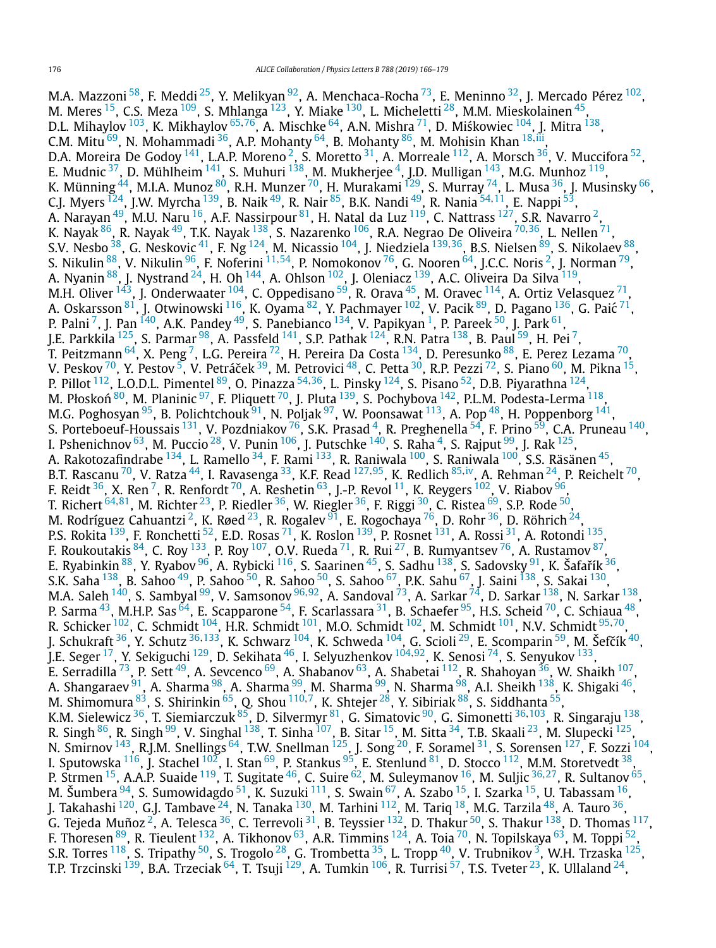M.A. Mazzoni  $^{58}$ , F. Meddi  $^{25}$ , Y. Melikyan  $^{92}$ , A. Menchaca-Rocha  $^{73}$ , E. Meninno  $^{32}$ , J. Mercado Pérez  $^{102}$ , M. Meres  $^{15}$ , C.S. Meza  $^{109}$  $^{109}$  $^{109}$ , S. Mhlanga  $^{123}$  $^{123}$  $^{123}$ , Y. Miake  $^{130}$ , L. Micheletti  $^{28}$ , M.M. Mieskolainen  $^{45}$ , D.L. Mihaylov <sup>103</sup>, K. Mikhaylov <sup>[65](#page-12-0),76</sup>, A. Mischke <sup>64</sup>, A.N. Mishra <sup>71</sup>, D. Miśkowiec <sup>104</sup>, J. Mitra <sup>138</sup>, C.M. Mitu  $^{69}$ , N. Mohammadi  $^{36}$ , A.P. Mohanty  $^{64}$  $^{64}$  $^{64}$ , B. Mohanty  $^{86}$ , M. Mohisin Khan  $^{18, \, \rm{iii}}$  $^{18, \, \rm{iii}}$  $^{18, \, \rm{iii}}$ , D.A. Moreira De Godoy  $^{141}$ , L.A.P. Moreno  $^2$ , S. Moretto  $^{31}$ , A. Morreale  $^{112}$ , A. Morsch  $^{36}$ , V. Muccifora  $^{52}$ , E. Mudnic  $^{37}$ , D. Mühlheim  $^{141}$ , S. Muhuri  $^{138}$ , M. Mukherjee  $^4$ , J.D. Mulligan  $^{143}$ , M.G. Munhoz  $^{119}$ , K. Münning <sup>[44](#page-11-0)</sup>, M.I.A. Munoz <sup>80</sup>, R.H. Munzer <sup>70</sup>, H. Murakami <sup>129</sup>, S. Murray <sup>74</sup>, L. Musa <sup>36</sup>, J. Musinsky <sup>66</sup>, C.J. Myers [124,](#page-12-0) J.W. Myrcha [139,](#page-13-0) B. Naik [49,](#page-11-0) R. Nair [85,](#page-12-0) B.K. Nandi [49,](#page-11-0) R. Nania [54](#page-11-0)*,*[11,](#page-11-0) E. Nappi [53,](#page-11-0) A. Narayan $^{49}$ , M.U. Naru $^{16}$ , A.F. Nassirpour $^{81}$ , H. Natal da Luz $^{119}$  $^{119}$  $^{119}$ , C. Nattrass $^{127}$  $^{127}$  $^{127}$ , S.R. Navarro $^2$ , K. Nayak [86,](#page-12-0) R. Nayak [49,](#page-11-0) T.K. Nayak [138,](#page-13-0) S. Nazarenko [106,](#page-12-0) R.A. Negrao De Oliveira [70](#page-12-0)*,*[36,](#page-11-0) L. Nellen [71,](#page-12-0) S.V. Nesbo [38,](#page-11-0) G. Neskovic [41,](#page-11-0) F. Ng [124,](#page-12-0) M. Nicassio [104,](#page-12-0) J. Niedziela [139](#page-13-0)*,*[36,](#page-11-0) B.S. Nielsen [89,](#page-12-0) S. Nikolaev [88,](#page-12-0) S. Nikulin [88,](#page-12-0) V. Nikulin [96,](#page-12-0) F. Noferini [11](#page-11-0)*,*[54,](#page-11-0) P. Nomokonov [76,](#page-12-0) G. Nooren [64,](#page-12-0) J.C.C. Noris [2,](#page-11-0) J. Norman [79,](#page-12-0) A. Nyanin  $^{88}$ , J. Nystrand  $^{24}$ , H. Oh  $^{144}$ , A. Ohlson  $^{102}$ , J. Oleniacz  $^{139}$ , A.C. Oliveira Da Silva  $^{119}$  $^{119}$  $^{119}$ , M.H. Oliver  $^{143}$ , J. Onderwaater  $^{104}$ , C. Oppedisano  $^{59}$ , R. Orava  $^{45}$ , M. Oravec  $^{114}$ , A. Ortiz Velasquez  $^{71}$ , A. Oskarsson $^{81}$ , J. Otwinowski  $^{116}$ , K. Oyama $^{82}$ , Y. Pachmayer  $^{102}$ , V. Pacik $^{89}$ , D. Pagano  $^{136}$ , G. Paić  $^{71}$ , P. Palni <sup>7</sup>, J. Pan <sup>140</sup>, A.K. Pandey <sup>49</sup>, S. Panebianco <sup>134</sup>, V. Papikyan <sup>1</sup>, P. Pareek <sup>50</sup>, J. Park <sup>61</sup>, J.E. Parkkila  $^{125}$ , S. Parmar  $^{98}$ , A. Passfeld  $^{141}$ , S.P. Pathak  $^{124}$ , R.N. Patra  $^{138}$ , B. Paul  $^{59}$ , H. Pei  $^7$ , T. Peitzmann $^{64}$ , X. Peng $^7$ , L.G. Pereira $^{72}$ , H. Pereira Da Costa $^{134}$ , D. Peresunko $^{88}$ , E. Perez Lezama $^{70}$ , V. Peskov <sup>70</sup>, Y. Pestov <sup>[5](#page-11-0)</sup>, V. Petráček <sup>[39](#page-11-0)</sup>, M. Petrovici <sup>48</sup>, C. Petta <sup>30</sup>, R.P. Pezzi <sup>72</sup>, S. Piano <sup>60</sup>, M. Pikna <sup>15</sup>, P. Pillot [112,](#page-12-0) L.O.D.L. Pimentel [89,](#page-12-0) O. Pinazza [54](#page-11-0)*,*[36,](#page-11-0) L. Pinsky [124,](#page-12-0) S. Pisano [52,](#page-11-0) D.B. Piyarathna [124,](#page-12-0) M. Płoskoń  $^{80}$ , M. Planinic  $^{97}$ , F. Pliquett  $^{70}$ , J. Pluta  $^{139}$ , S. Pochybova  $^{142}$ , P.L.M. Podesta-Lerma  $^{118}$ , M.G. Poghosyan  $^{95}$ , B. Polichtchouk  $^{91}$ , N. Poljak  $^{97}$ , W. Poonsawat  $^{113}$ , A. Pop  $^{48}$ , H. Poppenborg  $^{141}$  $^{141}$  $^{141}$ , S. Porteboeuf-Houssais <sup>131</sup>, V. Pozdniakov <sup>76</sup>, S.K. Prasad <sup>4</sup>, R. Preghenella <sup>54</sup>, F. Prino <sup>59</sup>, C.A. Pruneau <sup>140</sup>, I. Pshenichnov  $^{63}$ , M. Puccio  $^{28}$ , V. Punin  $^{106}$ , J. Putschke  $^{140}$ , S. Raha  $^4$ , S. Rajput  $^{99}$ , J. Rak  $^{125}$ , A. Rakotozafindrabe <sup>134</sup>, L. Ramello <sup>34</sup>, F. Rami <sup>133</sup>, R. Raniwala <sup>100</sup>, S. Raniwala <sup>100</sup>, S.S. Räsänen <sup>45</sup>, B.T. Rascanu [70,](#page-12-0) V. Ratza [44](#page-11-0), I. Ravasenga [33,](#page-11-0) K.F. Read [127](#page-12-0)*,*[95,](#page-12-0) K. Redlich [85](#page-12-0)*,*[iv,](#page-13-0) A. Rehman [24,](#page-11-0) P. Reichelt [70,](#page-12-0) F. Reidt  $^{36}$ , X. Ren  $^7$ , R. Renfordt  $^{70}$ , A. Reshetin  $^{63}$ , J.-P. Revol  $^{11}$ , K. Reygers  $^{102}$ , V. Riabov  $^{96}$ , T. Richert [64](#page-12-0)*,*[81,](#page-12-0) M. Richter [23,](#page-11-0) P. Riedler [36,](#page-11-0) W. Riegler [36,](#page-11-0) F. Riggi [30,](#page-11-0) C. Ristea [69,](#page-12-0) S.P. Rode [50,](#page-11-0) M. Rodríguez Cahuantzi<sup>2</sup>, K. Røed<sup>[23](#page-11-0)</sup>, R. Rogalev <sup>91</sup>, E. Rogochaya<sup>76</sup>, D. Rohr <sup>36</sup>, D. Röhrich <sup>24</sup>, P.S. Rokita <sup>139</sup>, F. Ronchetti <sup>52</sup>, E.D. Rosas <sup>71</sup>, K. Roslon <sup>139</sup>, P. Rosnet <sup>131</sup>, A. Rossi <sup>31</sup>, A. Rotondi <sup>135</sup>, F. Roukoutakis  $^{84}$ , C. Roy  $^{133}$ , P. Roy  $^{107}$ , O.V. Rueda  $^{71}$  $^{71}$  $^{71}$ , R. Rui  $^{27}$ , B. Rumyantsev  $^{76}$ , A. Rustamov  $^{87}$ , E. Ryabinkin  $88$ , Y. Ryabov  $96$ , A. Rybicki  $116$ , S. Saarinen  $45$ , S. Sadhu  $138$ , S. Sadovsky  $91$ , K. Šafařík $36$ , S.K. Saha <sup>138</sup>, B. Sahoo <sup>49</sup>, P. Sahoo <sup>50</sup>, R. Sahoo <sup>50</sup>, S. Sahoo <sup>67</sup>, P.K. Sahu <sup>67</sup>, J. Saini <sup>138</sup>, S. Sakai <sup>130</sup>, M.A. Saleh <sup>[140](#page-13-0)</sup>, S. Sambyal <sup>99</sup>, V. Samsonov <sup>[96](#page-12-0),[92](#page-12-0)</sup>, A. Sandoval <sup>73</sup>, A. Sarkar <sup>74</sup>, D. Sarkar <sup>138</sup>, N. Sarkar <sup>138</sup>, P. Sarma  $^{43}$ , M.H.P. Sas  $^{64}$ , E. Scapparone  $^{54}$ , F. Scarlassara  $^{31}$ , B. Schaefer  $^{95}$ , H.S. Scheid  $^{70}$ , C. Schiaua  $^{48}$ , R. Schicker [102,](#page-12-0) C. Schmidt [104](#page-12-0), H.R. Schmidt [101](#page-12-0), M.O. Schmidt [102](#page-12-0), M. Schmidt [101,](#page-12-0) N.V. Schmidt [95](#page-12-0)*,*[70,](#page-12-0) J. Schukraft <sup>36</sup>, Y. Schutz <sup>[36,](#page-11-0)133</sup>, K. Schwarz <sup>104</sup>, K. Schweda <sup>104</sup>, G. Scioli <sup>29</sup>, E. Scomparin <sup>59</sup>, M. Šefčík <sup>40</sup>, J.E. Seger [17,](#page-11-0) Y. Sekiguchi [129,](#page-12-0) D. Sekihata [46,](#page-11-0) I. Selyuzhenkov [104](#page-12-0)*,*[92,](#page-12-0) K. Senosi [74,](#page-12-0) S. Senyukov [133,](#page-12-0) E. Serradilla <sup>73</sup>, P. Sett <sup>49</sup>, A. Sevcenco <sup>69</sup>, A. Shabanov <sup>63</sup>, A. Shabetai <sup>112</sup>, R. Shahoyan <sup>36</sup>, W. Shaikh <sup>107</sup>, A. Shangaraev <sup>91</sup>, A. Sharma <sup>98</sup>, A. Sharma <sup>99</sup>, M. Sharma <sup>99</sup>, N. Sharma <sup>98</sup>, A.I. Sheikh <sup>138</sup>, K. Shigaki <sup>46</sup>, M. Shimomura [83,](#page-12-0) S. Shirinkin [65,](#page-12-0) Q. Shou [110](#page-12-0)*,*[7,](#page-11-0) K. Shtejer [28,](#page-11-0) Y. Sibiriak [88,](#page-12-0) S. Siddhanta [55,](#page-11-0) K.M. Sielewicz [36,](#page-11-0) T. Siemiarczuk [85,](#page-12-0) D. Silvermyr [81,](#page-12-0) G. Simatovic [90,](#page-12-0) G. Simonetti [36](#page-11-0)*,*[103,](#page-12-0) R. Singaraju [138,](#page-13-0) R. Singh <sup>86</sup>, R. Singh <sup>99</sup>, V. Singhal <sup>138</sup>, T. Sinha <sup>107</sup>, B. Sitar <sup>[15](#page-11-0)</sup>, M. Sitta <sup>34</sup>, T.B. Skaali <sup>23</sup>, M. Slupecki <sup>125</sup>, N. Smirnov <sup>143</sup>, R.J.M. Snellings <sup>64</sup>, T.W. Snellman <sup>125</sup>, J. Song <sup>20</sup>, F. Soramel <sup>31</sup>, S. Sorensen <sup>127</sup>, F. Sozzi <sup>104</sup>, I. Sputowska <sup>116</sup>, J. Stachel <sup>102</sup>, I. Stan <sup>69</sup>, P. Stankus <sup>95</sup>, E. Stenlund <sup>81</sup>, D. Stocco <sup>[112](#page-12-0)</sup>, M.M. Storetvedt <sup>38</sup>, P. Strmen [15,](#page-11-0) A.A.P. Suaide [119,](#page-12-0) T. Sugitate [46,](#page-11-0) C. Suire [62,](#page-12-0) M. Suleymanov [16,](#page-11-0) M. Suljic [36](#page-11-0)*,*[27,](#page-11-0) R. Sultanov [65,](#page-12-0) M. Šumbera  $^{94}$ , S. Sumowidagdo  $^{51}$ , K. Suzuki  $^{111}$ , S. Swain  $^{67}$ , A. Szabo  $^{15}$ , I. Szarka  $^{15}$ , U. Tabassam  $^{16}$ , J. Takahashi <sup>120</sup>, G.J. Tambave <sup>24</sup>, N. Tanaka <sup>130</sup>, M. Tarhini <sup>112</sup>, M. Tariq <sup>[18](#page-11-0)</sup>, M.G. Tarzila <sup>48</sup>, A. Tauro <sup>36</sup>, G. Tejeda Muñoz $^2$ , A. Telesca $^{\rm 36}$ , C. Terrevoli $^{\rm 31}$ , B. Teyssier  $^{\rm 132}$ , D. Thakur  $^{\rm 50}$  $^{\rm 50}$  $^{\rm 50}$ , S. Thakur  $^{\rm 138}$  $^{\rm 138}$  $^{\rm 138}$ , D. Thomas  $^{\rm 117}$ , F. Thoresen <sup>89</sup>, R. Tieulent <sup>132</sup>, A. Tikhonov <sup>63</sup>, A.R. Timmins <sup>124</sup>, A. Toia <sup>70</sup>, N. Topilskaya <sup>63</sup>, M. Toppi <sup>52</sup>, S.R. Torres  $^{118}$  $^{118}$  $^{118}$ , S. Tripathy  $^{50}$ , S. Trogolo  $^{28}$ , G. Trombetta  $^{35}$ , L. Tropp  $^{40}$ , V. Trubnikov  $^3$ , W.H. Trzaska  $^{125}$ , T.P. Trzcinski <sup>139</sup>, B.A. Trzeciak <sup>64</sup>, T. Tsuji <sup>129</sup>, A. Tumkin <sup>106</sup>, R. Turrisi <sup>57</sup>, T.S. Tveter <sup>23</sup>, K. Ullaland <sup>24</sup>,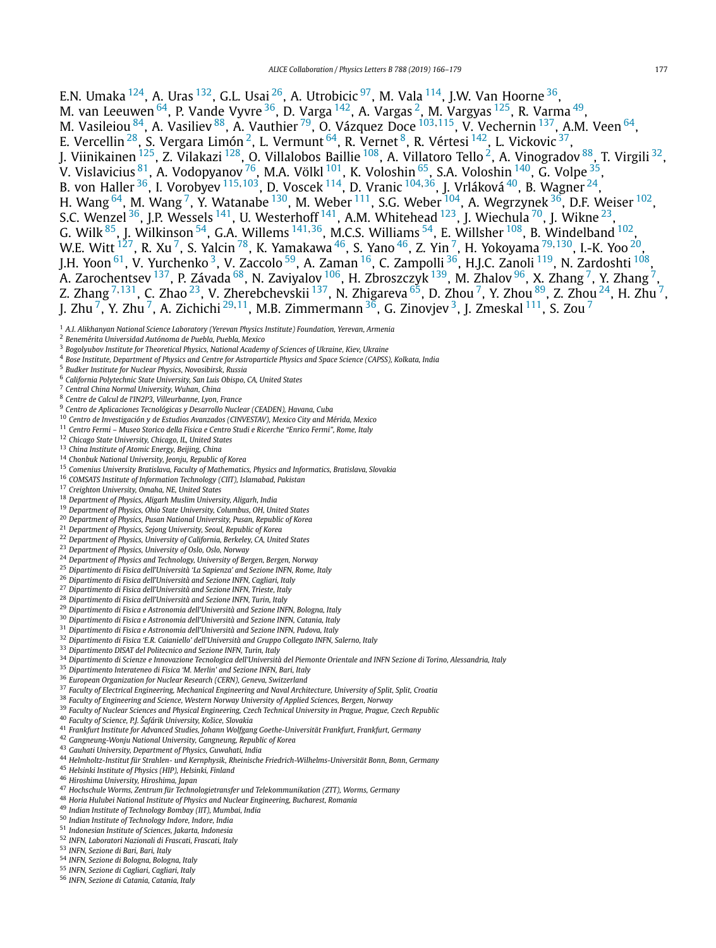<span id="page-11-0"></span>E.N. Umaka  $^{124}$ , A. Uras  $^{132}$ , G.L. Usai  $^{26}$ , A. Utrobicic  $^{97}$ , M. Vala  $^{114}$ , J.W. Van Hoorne  $^{36}$ , M. van Leeuwen $^{\, 64}$ , P. Vande Vyvre $^{\, 36}$ , D. Varga  $^{\, 142}$ , A. Vargas  $^2$ , M. Vargyas  $^{\, 125}$ , R. Varma  $^{\, 49}$ , M. Vasileiou [84](#page-12-0), A. Vasiliev [88,](#page-12-0) A. Vauthier [79,](#page-12-0) O. Vázquez Doce [103](#page-12-0)*,*[115,](#page-12-0) V. Vechernin [137,](#page-13-0) A.M. Veen [64,](#page-12-0) E. Vercellin $^{28}$ , S. Vergara Limón $^2$ , L. Vermunt $^{64}$ , R. Vernet $^8$ , R. Vértesi $^{142}$ , L. Vickovic $^{37}$ , J. Viinikainen <sup>125</sup>, Z. Vilakazi <sup>128</sup>, O. Villalobos Baillie <sup>108</sup>, A. Villatoro Tello <sup>2</sup>, A. Vinogradov <sup>88</sup>, T. Virgili <sup>32</sup>, V. Vislavicius <sup>[81](#page-12-0)</sup>, A. Vodopyanov <sup>76</sup>, M.A. Völkl <sup>101</sup>, K. Voloshin <sup>65</sup>, S.A. Voloshin <sup>140</sup>, G. Volpe <sup>35</sup>, B. von Haller 36, I. Vorobyev [115](#page-12-0)*,*[103,](#page-12-0) D. Voscek [114,](#page-12-0) D. Vranic [104](#page-12-0)*,*36, J. Vrláková 40, B. Wagner 24, H. Wang  $^{64}$ , M. Wang  $^7$ , Y. Watanabe  $^{130}$ , M. Weber  $^{111}$ , S.G. Weber  $^{104}$ , A. Wegrzynek  $^{36}$ , D.F. Weiser  $^{102}$ , S.C. Wenzel  $^{36}$ , J.P. Wessels  $^{141}$  $^{141}$  $^{141}$ , U. Westerhoff  $^{141}$ , A.M. Whitehead  $^{123}$ , J. Wiechula  $^{70}$ , J. Wikne  $^{23}$ , G. Wilk [85,](#page-12-0) J. Wilkinson 54, G.A. Willems [141](#page-13-0)*,*36, M.C.S. Williams 54, E. Willsher [108,](#page-12-0) B. Windelband [102,](#page-12-0) W.E. Witt [127](#page-12-0), R. Xu 7, S. Yalcin [78,](#page-12-0) K. Yamakawa 46, S. Yano 46, Z. Yin 7, H. Yokoyama [79](#page-12-0)*,*[130,](#page-12-0) I.-K. Yoo 20, J.H. Yoon  $^{61}$ , V. Yurchenko  $^3$ , V. Zaccolo  $^{59}$ , A. Zaman  $^{16}$ , C. Zampolli  $^{36}$ , H.J.C. Zanoli  $^{119}$ , N. Zardoshti  $^{108}$ , A. Zarochentsev <sup>137</sup>, P. Závada <sup>68</sup>, N. Zaviyalov <sup>106</sup>, H. Zbroszczyk <sup>139</sup>, M. Zhalov <sup>96</sup>, X. Zhang <sup>7</sup>, Y. Zhang <sup>7</sup>, Z. Zhang <sup>7,131</sup>, C. Zhao <sup>23</sup>, V. Zherebchevskii <sup>137</sup>, N. Zhigareva <sup>65</sup>, D. Zhou <sup>7</sup>, Y. Zhou <sup>89</sup>, Z. Zhou <sup>24</sup>, H. Zhu <sup>7</sup>, J. Zhu 7, Y. Zhu 7, A. Zichichi <sup>29</sup>*,*11, M.B. Zimmermann 36, G. Zinovjev 3, J. Zmeskal [111,](#page-12-0) S. Zou <sup>7</sup>

- *A.I. Alikhanyan National Science Laboratory (Yerevan Physics Institute) Foundation, Yerevan, Armenia*
- *Benemérita Universidad Autónoma de Puebla, Puebla, Mexico*
- *Bogolyubov Institute for Theoretical Physics, National Academy of Sciences of Ukraine, Kiev, Ukraine*
- <sup>4</sup> Bose Institute, Department of Physics and Centre for Astroparticle Physics and Space Science (CAPSS), Kolkata, India
- *Budker Institute for Nuclear Physics, Novosibirsk, Russia*
- *California Polytechnic State University, San Luis Obispo, CA, United States*
- *Central China Normal University, Wuhan, China*
- *Centre de Calcul de l'IN2P3, Villeurbanne, Lyon, France*
- *Centro de Aplicaciones Tecnológicas y Desarrollo Nuclear (CEADEN), Havana, Cuba*
- *Centro de Investigación y de Estudios Avanzados (CINVESTAV), Mexico City and Mérida, Mexico*
- *Centro Fermi – Museo Storico della Fisica e Centro Studi e Ricerche "Enrico Fermi", Rome, Italy*
- *Chicago State University, Chicago, IL, United States*
- *China Institute of Atomic Energy, Beijing, China*
- *Chonbuk National University, Jeonju, Republic of Korea*
- *Comenius University Bratislava, Faculty of Mathematics, Physics and Informatics, Bratislava, Slovakia*
- *COMSATS Institute of Information Technology (CIIT), Islamabad, Pakistan*
- *Creighton University, Omaha, NE, United States*
- *Department of Physics, Aligarh Muslim University, Aligarh, India*
- *Department of Physics, Ohio State University, Columbus, OH, United States*
- *Department of Physics, Pusan National University, Pusan, Republic of Korea*
- *Department of Physics, Sejong University, Seoul, Republic of Korea*
- *Department of Physics, University of California, Berkeley, CA, United States*
- *Department of Physics, University of Oslo, Oslo, Norway*
- *Department of Physics and Technology, University of Bergen, Bergen, Norway*
- *Dipartimento di Fisica dell'Università 'La Sapienza' and Sezione INFN, Rome, Italy*
- *Dipartimento di Fisica dell'Università and Sezione INFN, Cagliari, Italy*
- *Dipartimento di Fisica dell'Università and Sezione INFN, Trieste, Italy*
- *Dipartimento di Fisica dell'Università and Sezione INFN, Turin, Italy*
- *Dipartimento di Fisica e Astronomia dell'Università and Sezione INFN, Bologna, Italy*
- *Dipartimento di Fisica e Astronomia dell'Università and Sezione INFN, Catania, Italy*
- *Dipartimento di Fisica e Astronomia dell'Università and Sezione INFN, Padova, Italy*
- *Dipartimento di Fisica 'E.R. Caianiello' dell'Università and Gruppo Collegato INFN, Salerno, Italy*
- *Dipartimento DISAT del Politecnico and Sezione INFN, Turin, Italy*
- <sup>34</sup> Dipartimento di Scienze e Innovazione Tecnologica dell'Università del Piemonte Orientale and INFN Sezione di Torino, Alessandria, Italy
- *Dipartimento Interateneo di Fisica 'M. Merlin' and Sezione INFN, Bari, Italy*
- *European Organization for Nuclear Research (CERN), Geneva, Switzerland*
- *Faculty of Electrical Engineering, Mechanical Engineering and Naval Architecture, University of Split, Split, Croatia*
- *Faculty of Engineering and Science, Western Norway University of Applied Sciences, Bergen, Norway*
- *Faculty of Nuclear Sciences and Physical Engineering, Czech Technical University in Prague, Prague, Czech Republic*
- *Faculty of Science, P.J. Šafárik University, Košice, Slovakia*
- *Frankfurt Institute for Advanced Studies, Johann Wolfgang Goethe-Universität Frankfurt, Frankfurt, Germany*
- *Gangneung-Wonju National University, Gangneung, Republic of Korea*
- *Gauhati University, Department of Physics, Guwahati, India*
- *Helmholtz-Institut für Strahlen- und Kernphysik, Rheinische Friedrich-Wilhelms-Universität Bonn, Bonn, Germany*
- *Helsinki Institute of Physics (HIP), Helsinki, Finland*
- *Hiroshima University, Hiroshima, Japan*
- *Hochschule Worms, Zentrum für Technologietransfer und Telekommunikation (ZTT), Worms, Germany*
- *Horia Hulubei National Institute of Physics and Nuclear Engineering, Bucharest, Romania*
- *Indian Institute of Technology Bombay (IIT), Mumbai, India*
- *Indian Institute of Technology Indore, Indore, India*
- *Indonesian Institute of Sciences, Jakarta, Indonesia*
- *INFN, Laboratori Nazionali di Frascati, Frascati, Italy*
- *INFN, Sezione di Bari, Bari, Italy*
- *INFN, Sezione di Bologna, Bologna, Italy INFN, Sezione di Cagliari, Cagliari, Italy*
- *INFN, Sezione di Catania, Catania, Italy*
-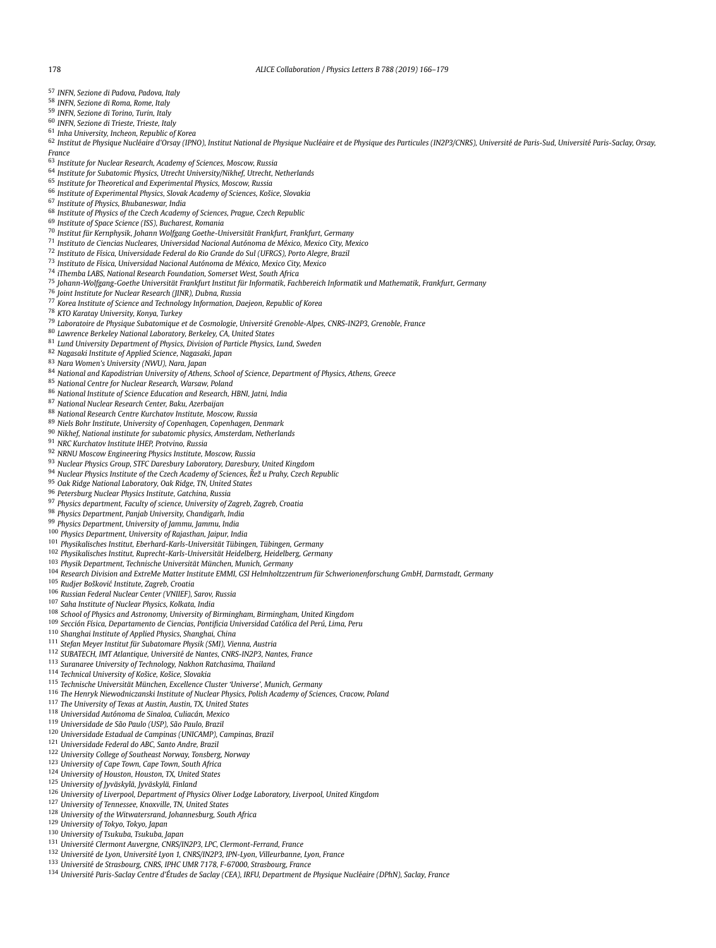- <span id="page-12-0"></span>*INFN, Sezione di Padova, Padova, Italy*
- *INFN, Sezione di Roma, Rome, Italy*
- *INFN, Sezione di Torino, Turin, Italy*
- *INFN, Sezione di Trieste, Trieste, Italy*
- *Inha University, Incheon, Republic of Korea*

62 Institut de Physique Nucléaire d'Orsay (IPNO), Institut National de Physique Nucléaire et de Physique des Particules (IN2P3/CNRS), Université de Paris-Sud, Université Paris-Saclay, Orsay, *France*

- *Institute for Nuclear Research, Academy of Sciences, Moscow, Russia*
- *Institute for Subatomic Physics, Utrecht University/Nikhef, Utrecht, Netherlands*
- *Institute for Theoretical and Experimental Physics, Moscow, Russia*
- *Institute of Experimental Physics, Slovak Academy of Sciences, Košice, Slovakia*
- *Institute of Physics, Bhubaneswar, India*
- *Institute of Physics of the Czech Academy of Sciences, Prague, Czech Republic*
- *Institute of Space Science (ISS), Bucharest, Romania*
- *Institut für Kernphysik, Johann Wolfgang Goethe-Universität Frankfurt, Frankfurt, Germany*
- *Instituto de Ciencias Nucleares, Universidad Nacional Autónoma de México, Mexico City, Mexico*
- *Instituto de Física, Universidade Federal do Rio Grande do Sul (UFRGS), Porto Alegre, Brazil*
- *Instituto de Física, Universidad Nacional Autónoma de México, Mexico City, Mexico*
- *iThemba LABS, National Research Foundation, Somerset West, South Africa*
- *Johann-Wolfgang-Goethe Universität Frankfurt Institut für Informatik, Fachbereich Informatik und Mathematik, Frankfurt, Germany*
- *Joint Institute for Nuclear Research (JINR), Dubna, Russia*
- *Korea Institute of Science and Technology Information, Daejeon, Republic of Korea*
- *KTO Karatay University, Konya, Turkey*
- *Laboratoire de Physique Subatomique et de Cosmologie, Université Grenoble-Alpes, CNRS-IN2P3, Grenoble, France*
- *Lawrence Berkeley National Laboratory, Berkeley, CA, United States*
- *Lund University Department of Physics, Division of Particle Physics, Lund, Sweden*
- *Nagasaki Institute of Applied Science, Nagasaki, Japan*
- *Nara Women's University (NWU), Nara, Japan*
- *National and Kapodistrian University of Athens, School of Science, Department of Physics, Athens, Greece*
- *National Centre for Nuclear Research, Warsaw, Poland*
- *National Institute of Science Education and Research, HBNI, Jatni, India*
- *National Nuclear Research Center, Baku, Azerbaijan*
- *National Research Centre Kurchatov Institute, Moscow, Russia*
- *Niels Bohr Institute, University of Copenhagen, Copenhagen, Denmark*
- *Nikhef, National institute for subatomic physics, Amsterdam, Netherlands*
- *NRC Kurchatov Institute IHEP, Protvino, Russia*
- *NRNU Moscow Engineering Physics Institute, Moscow, Russia*
- *Nuclear Physics Group, STFC Daresbury Laboratory, Daresbury, United Kingdom*
- *Nuclear Physics Institute of the Czech Academy of Sciences, Rež ˇ u Prahy, Czech Republic*
- *Oak Ridge National Laboratory, Oak Ridge, TN, United States*
- *Petersburg Nuclear Physics Institute, Gatchina, Russia*
- *Physics department, Faculty of science, University of Zagreb, Zagreb, Croatia*
- *Physics Department, Panjab University, Chandigarh, India*
- *Physics Department, University of Jammu, Jammu, India*
- *Physics Department, University of Rajasthan, Jaipur, India*
- *Physikalisches Institut, Eberhard-Karls-Universität Tübingen, Tübingen, Germany*
- *Physikalisches Institut, Ruprecht-Karls-Universität Heidelberg, Heidelberg, Germany*
- *Physik Department, Technische Universität München, Munich, Germany*
- <sup>104</sup> Research Division and ExtreMe Matter Institute EMMI, GSI Helmholtzzentrum für Schwerionenforschung GmbH, Darmstadt, Germany
- *Rudjer Boškovi´c Institute, Zagreb, Croatia*
- *Russian Federal Nuclear Center (VNIIEF), Sarov, Russia*
- *Saha Institute of Nuclear Physics, Kolkata, India*
- *School of Physics and Astronomy, University of Birmingham, Birmingham, United Kingdom*
- *Sección Física, Departamento de Ciencias, Pontificia Universidad Católica del Perú, Lima, Peru*
- *Shanghai Institute of Applied Physics, Shanghai, China*
- 
- *Stefan Meyer Institut für Subatomare Physik (SMI), Vienna, Austria*
- *SUBATECH, IMT Atlantique, Université de Nantes, CNRS-IN2P3, Nantes, France*
- *Suranaree University of Technology, Nakhon Ratchasima, Thailand*
- *Technical University of Košice, Košice, Slovakia*
- *Technische Universität München, Excellence Cluster 'Universe', Munich, Germany*
- *The Henryk Niewodniczanski Institute of Nuclear Physics, Polish Academy of Sciences, Cracow, Poland*
- *The University of Texas at Austin, Austin, TX, United States*
- *Universidad Autónoma de Sinaloa, Culiacán, Mexico*
- *Universidade de São Paulo (USP), São Paulo, Brazil*
- *Universidade Estadual de Campinas (UNICAMP), Campinas, Brazil*
- *Universidade Federal do ABC, Santo Andre, Brazil*
- *University College of Southeast Norway, Tonsberg, Norway*
- *University of Cape Town, Cape Town, South Africa*
- *University of Houston, Houston, TX, United States*
- *University of Jyväskylä, Jyväskylä, Finland*
- *University of Liverpool, Department of Physics Oliver Lodge Laboratory, Liverpool, United Kingdom*
- *University of Tennessee, Knoxville, TN, United States*
- *University of the Witwatersrand, Johannesburg, South Africa*
- *University of Tokyo, Tokyo, Japan*
- *University of Tsukuba, Tsukuba, Japan*
- *Université Clermont Auvergne, CNRS/IN2P3, LPC, Clermont-Ferrand, France*
- *Université de Lyon, Université Lyon 1, CNRS/IN2P3, IPN-Lyon, Villeurbanne, Lyon, France*
- *Université de Strasbourg, CNRS, IPHC UMR 7178, F-67000, Strasbourg, France*
- <sup>134</sup> Université Paris-Saclay Centre d'Études de Saclay (CEA), IRFU, Department de Physique Nucléaire (DPhN), Saclay, France